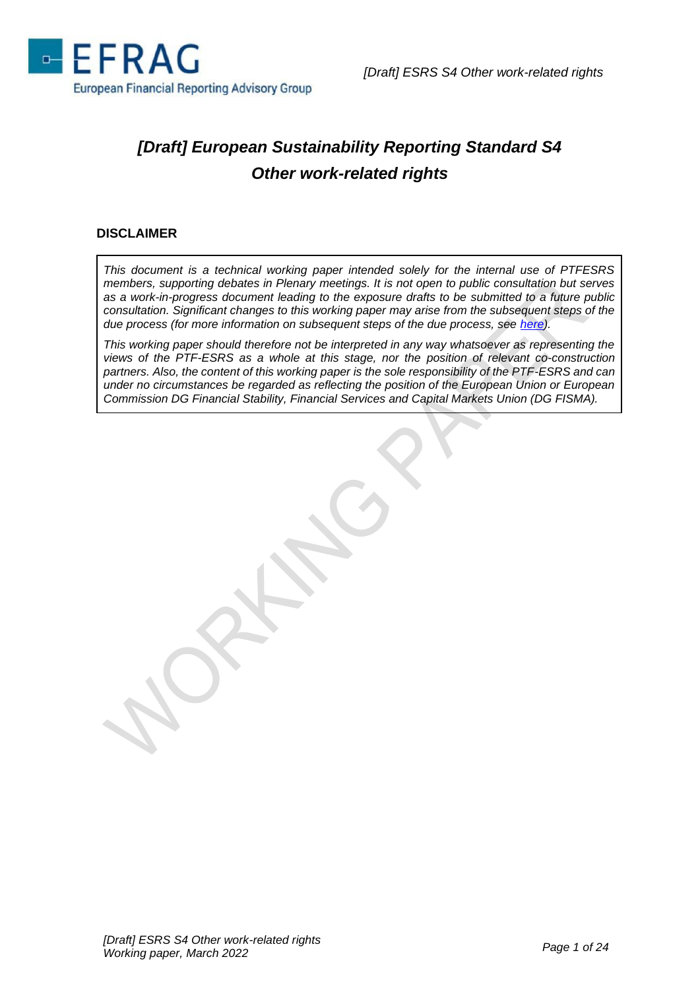

# *[Draft] European Sustainability Reporting Standard S4 Other work-related rights*

## **DISCLAIMER**

*This document is a technical working paper intended solely for the internal use of PTFESRS members, supporting debates in Plenary meetings. It is not open to public consultation but serves as a work-in-progress document leading to the exposure drafts to be submitted to a future public consultation. Significant changes to this working paper may arise from the subsequent steps of the due process (for more information on subsequent steps of the due process, see [here\)](https://www.efrag.org/Assets/Download?assetUrl=/sites/webpublishing/SiteAssets/Cover%20note%20for%20Batch%201%20WPs.pdf).*

*This working paper should therefore not be interpreted in any way whatsoever as representing the views of the PTF-ESRS as a whole at this stage, nor the position of relevant co-construction partners. Also, the content of this working paper is the sole responsibility of the PTF-ESRS and can under no circumstances be regarded as reflecting the position of the European Union or European Commission DG Financial Stability, Financial Services and Capital Markets Union (DG FISMA).*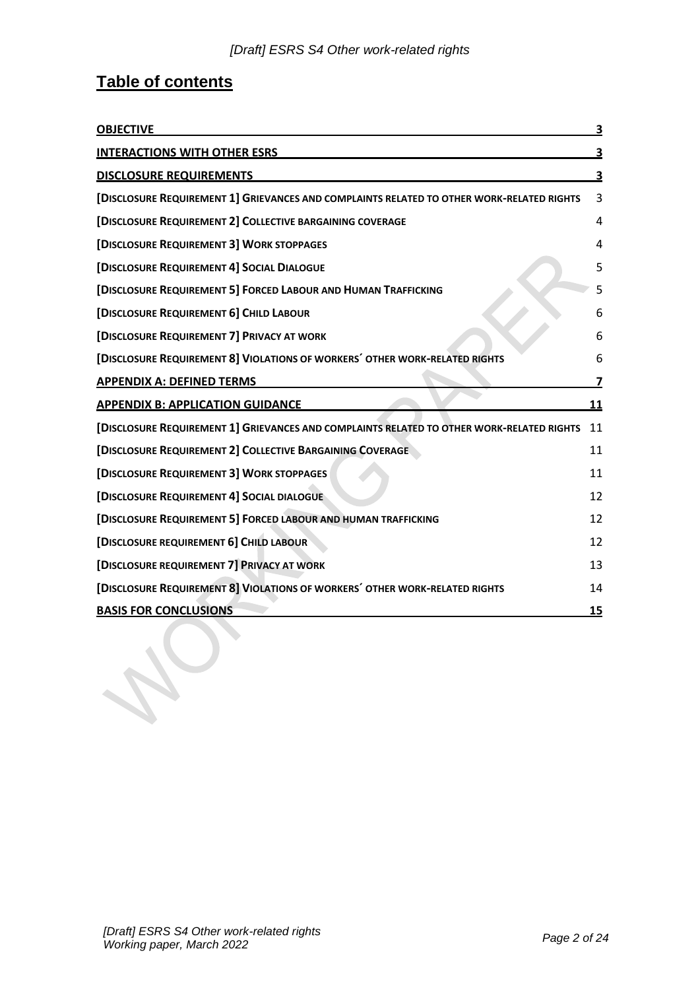# **Table of contents**

| <b>OBJECTIVE</b>                                                                          | 3         |
|-------------------------------------------------------------------------------------------|-----------|
| <b>INTERACTIONS WITH OTHER ESRS</b>                                                       | <u>3</u>  |
| <b>DISCLOSURE REQUIREMENTS</b>                                                            | 3         |
| [DISCLOSURE REQUIREMENT 1] GRIEVANCES AND COMPLAINTS RELATED TO OTHER WORK-RELATED RIGHTS | 3         |
| [DISCLOSURE REQUIREMENT 2] COLLECTIVE BARGAINING COVERAGE                                 | 4         |
| [DISCLOSURE REQUIREMENT 3] WORK STOPPAGES                                                 | 4         |
| [DISCLOSURE REQUIREMENT 4] SOCIAL DIALOGUE                                                | 5         |
| [DISCLOSURE REQUIREMENT 5] FORCED LABOUR AND HUMAN TRAFFICKING                            | 5         |
| [DISCLOSURE REQUIREMENT 6] CHILD LABOUR                                                   | 6         |
| [DISCLOSURE REQUIREMENT 7] PRIVACY AT WORK                                                | 6         |
| [DISCLOSURE REQUIREMENT 8] VIOLATIONS OF WORKERS' OTHER WORK-RELATED RIGHTS               | 6         |
| <b>APPENDIX A: DEFINED TERMS</b>                                                          | 7         |
| <b>APPENDIX B: APPLICATION GUIDANCE</b>                                                   | 11        |
| [DISCLOSURE REQUIREMENT 1] GRIEVANCES AND COMPLAINTS RELATED TO OTHER WORK-RELATED RIGHTS | 11        |
| [DISCLOSURE REQUIREMENT 2] COLLECTIVE BARGAINING COVERAGE                                 | 11        |
| [DISCLOSURE REQUIREMENT 3] WORK STOPPAGES                                                 | 11        |
| <b>[DISCLOSURE REQUIREMENT 4] SOCIAL DIALOGUE</b>                                         | 12        |
| [DISCLOSURE REQUIREMENT 5] FORCED LABOUR AND HUMAN TRAFFICKING                            | 12        |
| [DISCLOSURE REQUIREMENT 6] CHILD LABOUR                                                   | 12        |
| [DISCLOSURE REQUIREMENT 7] PRIVACY AT WORK                                                | 13        |
| [DISCLOSURE REQUIREMENT 8] VIOLATIONS OF WORKERS' OTHER WORK-RELATED RIGHTS               | 14        |
| <b>BASIS FOR CONCLUSIONS</b>                                                              | <b>15</b> |
|                                                                                           |           |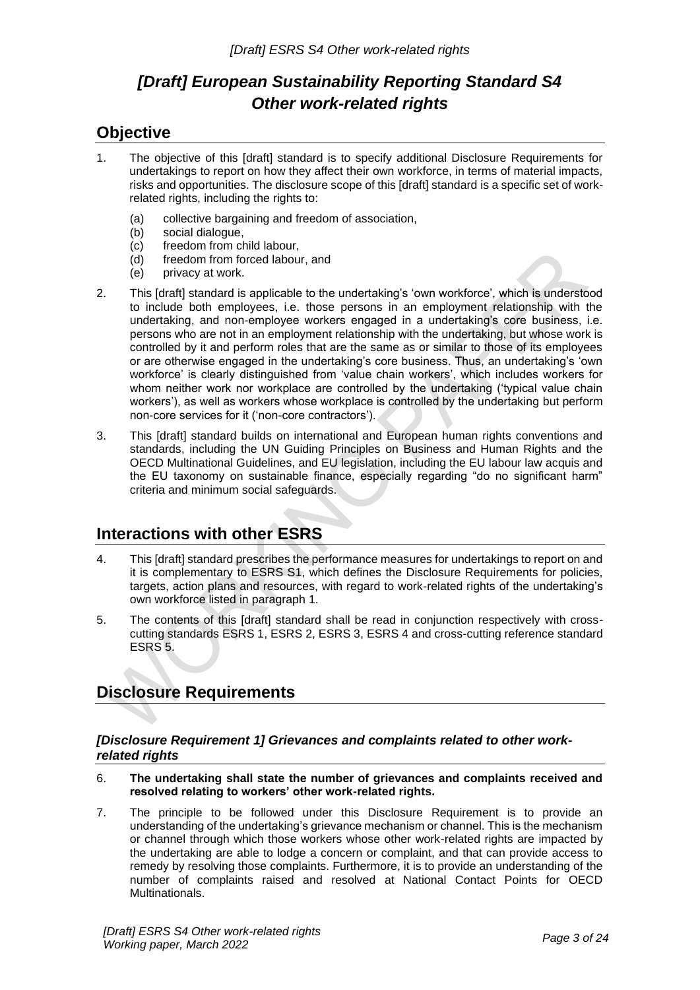## *[Draft] European Sustainability Reporting Standard S4 Other work-related rights*

## <span id="page-2-0"></span>**Objective**

- 1. The objective of this [draft] standard is to specify additional Disclosure Requirements for undertakings to report on how they affect their own workforce, in terms of material impacts, risks and opportunities. The disclosure scope of this [draft] standard is a specific set of workrelated rights, including the rights to:
	- (a) collective bargaining and freedom of association,<br>(b) social dialogue,
	- (b) social dialogue,<br>(c) freedom from ch
	- freedom from child labour,
	- (d) freedom from forced labour, and
	- (e) privacy at work.
- 2. This [draft] standard is applicable to the undertaking's 'own workforce', which is understood to include both employees, i.e. those persons in an employment relationship with the undertaking, and non-employee workers engaged in a undertaking's core business, i.e. persons who are not in an employment relationship with the undertaking, but whose work is controlled by it and perform roles that are the same as or similar to those of its employees or are otherwise engaged in the undertaking's core business. Thus, an undertaking's 'own workforce' is clearly distinguished from 'value chain workers', which includes workers for whom neither work nor workplace are controlled by the undertaking ('typical value chain workers'), as well as workers whose workplace is controlled by the undertaking but perform non-core services for it ('non-core contractors').
- 3. This [draft] standard builds on international and European human rights conventions and standards, including the UN Guiding Principles on Business and Human Rights and the OECD Multinational Guidelines, and EU legislation, including the EU labour law acquis and the EU taxonomy on sustainable finance, especially regarding "do no significant harm" criteria and minimum social safeguards.

## <span id="page-2-1"></span>**Interactions with other ESRS**

- 4. This [draft] standard prescribes the performance measures for undertakings to report on and it is complementary to ESRS S1, which defines the Disclosure Requirements for policies, targets, action plans and resources, with regard to work-related rights of the undertaking's own workforce listed in paragraph 1.
- 5. The contents of this [draft] standard shall be read in conjunction respectively with crosscutting standards ESRS 1, ESRS 2, ESRS 3, ESRS 4 and cross-cutting reference standard ESRS 5.

## <span id="page-2-2"></span>**Disclosure Requirements**

## <span id="page-2-3"></span>*[Disclosure Requirement 1] Grievances and complaints related to other workrelated rights*

- 6. **The undertaking shall state the number of grievances and complaints received and resolved relating to workers' other work-related rights.**
- 7. The principle to be followed under this Disclosure Requirement is to provide an understanding of the undertaking's grievance mechanism or channel. This is the mechanism or channel through which those workers whose other work-related rights are impacted by the undertaking are able to lodge a concern or complaint, and that can provide access to remedy by resolving those complaints. Furthermore, it is to provide an understanding of the number of complaints raised and resolved at National Contact Points for OECD Multinationals.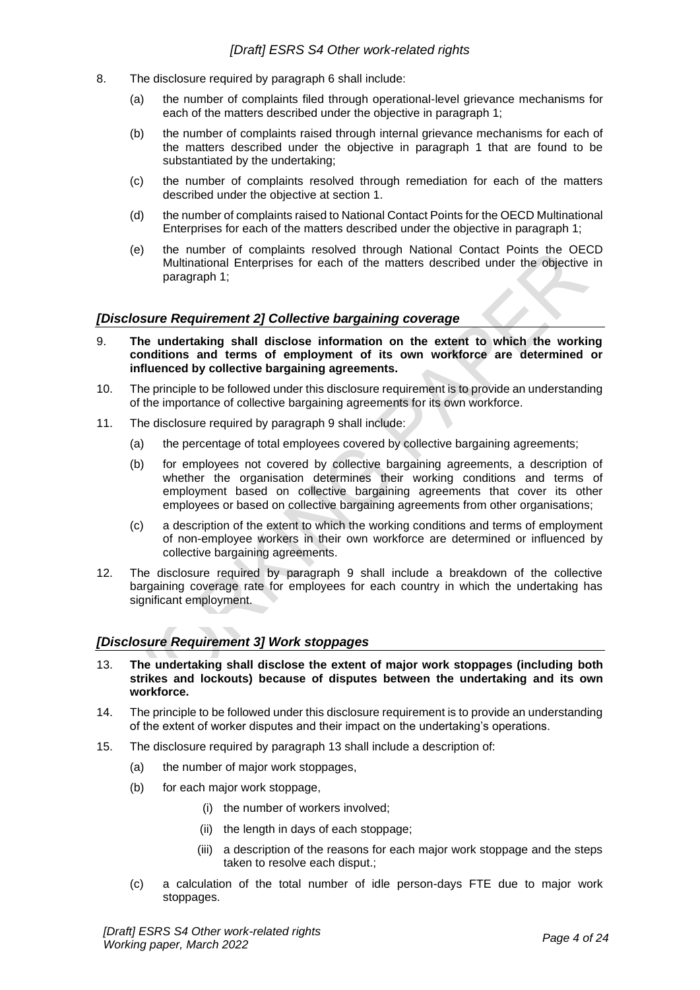- 8. The disclosure required by paragraph 6 shall include:
	- (a) the number of complaints filed through operational-level grievance mechanisms for each of the matters described under the objective in paragraph 1;
	- (b) the number of complaints raised through internal grievance mechanisms for each of the matters described under the objective in paragraph 1 that are found to be substantiated by the undertaking;
	- (c) the number of complaints resolved through remediation for each of the matters described under the objective at section 1.
	- (d) the number of complaints raised to National Contact Points for the OECD Multinational Enterprises for each of the matters described under the objective in paragraph 1;
	- (e) the number of complaints resolved through National Contact Points the OECD Multinational Enterprises for each of the matters described under the objective in paragraph 1;

#### <span id="page-3-0"></span>*[Disclosure Requirement 2] Collective bargaining coverage*

- 9. **The undertaking shall disclose information on the extent to which the working conditions and terms of employment of its own workforce are determined or influenced by collective bargaining agreements.**
- 10. The principle to be followed under this disclosure requirement is to provide an understanding of the importance of collective bargaining agreements for its own workforce.
- 11. The disclosure required by paragraph 9 shall include:
	- (a) the percentage of total employees covered by collective bargaining agreements;
	- (b) for employees not covered by collective bargaining agreements, a description of whether the organisation determines their working conditions and terms of employment based on collective bargaining agreements that cover its other employees or based on collective bargaining agreements from other organisations;
	- (c) a description of the extent to which the working conditions and terms of employment of non-employee workers in their own workforce are determined or influenced by collective bargaining agreements.
- 12. The disclosure required by paragraph 9 shall include a breakdown of the collective bargaining coverage rate for employees for each country in which the undertaking has significant employment.

#### <span id="page-3-1"></span>*[Disclosure Requirement 3] Work stoppages*

- 13. **The undertaking shall disclose the extent of major work stoppages (including both strikes and lockouts) because of disputes between the undertaking and its own workforce.**
- 14. The principle to be followed under this disclosure requirement is to provide an understanding of the extent of worker disputes and their impact on the undertaking's operations.
- 15. The disclosure required by paragraph 13 shall include a description of:
	- (a) the number of major work stoppages,
	- (b) for each major work stoppage,
		- (i) the number of workers involved;
		- (ii) the length in days of each stoppage;
		- (iii) a description of the reasons for each major work stoppage and the steps taken to resolve each disput.;
	- (c) a calculation of the total number of idle person-days FTE due to major work stoppages.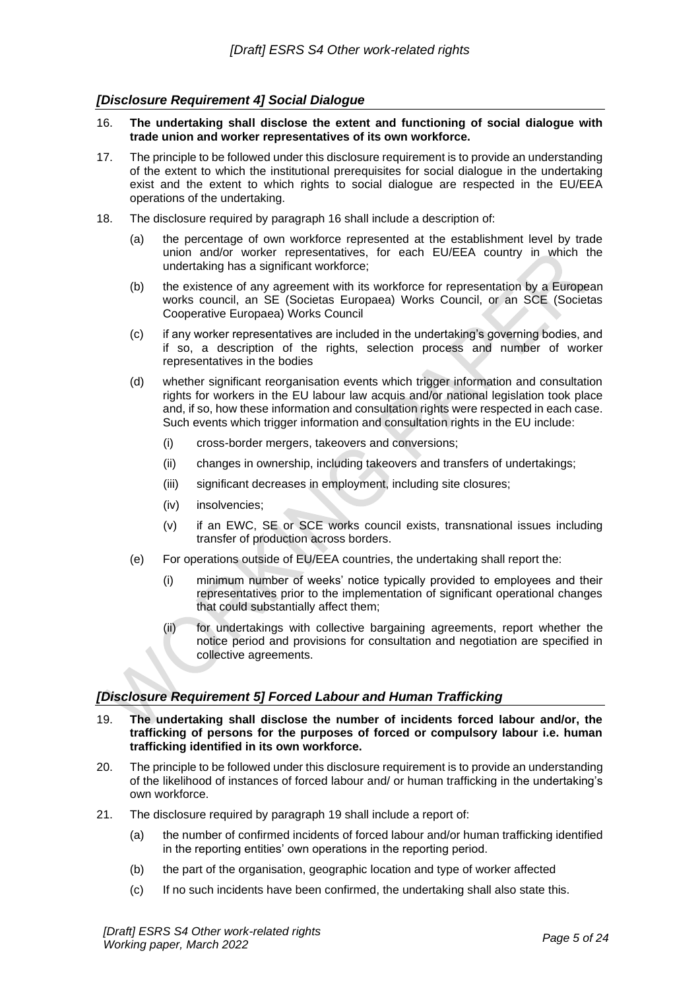## <span id="page-4-0"></span>*[Disclosure Requirement 4] Social Dialogue*

- 16. **The undertaking shall disclose the extent and functioning of social dialogue with trade union and worker representatives of its own workforce.**
- 17. The principle to be followed under this disclosure requirement is to provide an understanding of the extent to which the institutional prerequisites for social dialogue in the undertaking exist and the extent to which rights to social dialogue are respected in the EU/EEA operations of the undertaking.
- 18. The disclosure required by paragraph 16 shall include a description of:
	- (a) the percentage of own workforce represented at the establishment level by trade union and/or worker representatives, for each EU/EEA country in which the undertaking has a significant workforce;
	- (b) the existence of any agreement with its workforce for representation by a European works council, an SE (Societas Europaea) Works Council, or an SCE (Societas Cooperative Europaea) Works Council
	- (c) if any worker representatives are included in the undertaking's governing bodies, and if so, a description of the rights, selection process and number of worker representatives in the bodies
	- (d) whether significant reorganisation events which trigger information and consultation rights for workers in the EU labour law acquis and/or national legislation took place and, if so, how these information and consultation rights were respected in each case. Such events which trigger information and consultation rights in the EU include:
		- (i) cross-border mergers, takeovers and conversions;
		- (ii) changes in ownership, including takeovers and transfers of undertakings;
		- (iii) significant decreases in employment, including site closures;
		- (iv) insolvencies;
		- (v) if an EWC, SE or SCE works council exists, transnational issues including transfer of production across borders.
	- (e) For operations outside of EU/EEA countries, the undertaking shall report the:
		- (i) minimum number of weeks' notice typically provided to employees and their representatives prior to the implementation of significant operational changes that could substantially affect them;
		- (ii) for undertakings with collective bargaining agreements, report whether the notice period and provisions for consultation and negotiation are specified in collective agreements.

## <span id="page-4-1"></span>*[Disclosure Requirement 5] Forced Labour and Human Trafficking*

- 19. **The undertaking shall disclose the number of incidents forced labour and/or, the trafficking of persons for the purposes of forced or compulsory labour i.e. human trafficking identified in its own workforce.**
- 20. The principle to be followed under this disclosure requirement is to provide an understanding of the likelihood of instances of forced labour and/ or human trafficking in the undertaking's own workforce.
- 21. The disclosure required by paragraph 19 shall include a report of:
	- (a) the number of confirmed incidents of forced labour and/or human trafficking identified in the reporting entities' own operations in the reporting period.
	- (b) the part of the organisation, geographic location and type of worker affected
	- (c) If no such incidents have been confirmed, the undertaking shall also state this.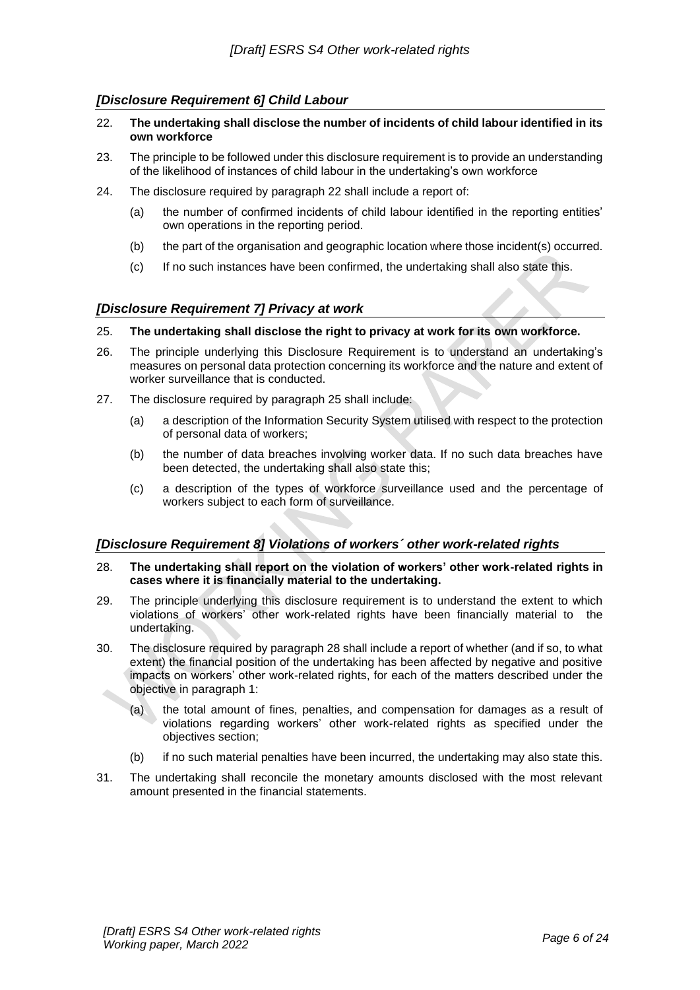## <span id="page-5-0"></span>*[Disclosure Requirement 6] Child Labour*

- 22. **The undertaking shall disclose the number of incidents of child labour identified in its own workforce**
- 23. The principle to be followed under this disclosure requirement is to provide an understanding of the likelihood of instances of child labour in the undertaking's own workforce
- 24. The disclosure required by paragraph 22 shall include a report of:
	- (a) the number of confirmed incidents of child labour identified in the reporting entities' own operations in the reporting period.
	- (b) the part of the organisation and geographic location where those incident(s) occurred.
	- (c) If no such instances have been confirmed, the undertaking shall also state this.

#### <span id="page-5-1"></span>*[Disclosure Requirement 7] Privacy at work*

#### 25. **The undertaking shall disclose the right to privacy at work for its own workforce.**

- 26. The principle underlying this Disclosure Requirement is to understand an undertaking's measures on personal data protection concerning its workforce and the nature and extent of worker surveillance that is conducted.
- 27. The disclosure required by paragraph 25 shall include:
	- (a) a description of the Information Security System utilised with respect to the protection of personal data of workers;
	- (b) the number of data breaches involving worker data. If no such data breaches have been detected, the undertaking shall also state this;
	- (c) a description of the types of workforce surveillance used and the percentage of workers subject to each form of surveillance.

## <span id="page-5-2"></span>*[Disclosure Requirement 8] Violations of workers´ other work-related rights*

- 28. **The undertaking shall report on the violation of workers' other work-related rights in cases where it is financially material to the undertaking.**
- 29. The principle underlying this disclosure requirement is to understand the extent to which violations of workers' other work-related rights have been financially material to the undertaking.
- 30. The disclosure required by paragraph 28 shall include a report of whether (and if so, to what extent) the financial position of the undertaking has been affected by negative and positive impacts on workers' other work-related rights, for each of the matters described under the objective in paragraph 1:
	- (a) the total amount of fines, penalties, and compensation for damages as a result of violations regarding workers' other work-related rights as specified under the objectives section;
	- (b) if no such material penalties have been incurred, the undertaking may also state this.
- 31. The undertaking shall reconcile the monetary amounts disclosed with the most relevant amount presented in the financial statements.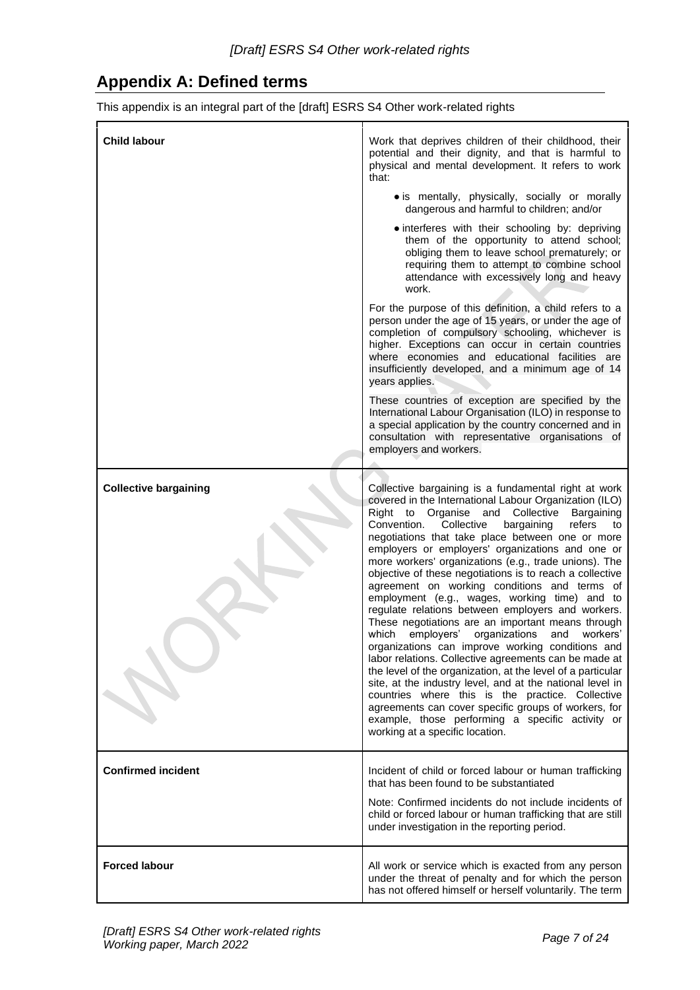## <span id="page-6-0"></span>**Appendix A: Defined terms**

This appendix is an integral part of the [draft] ESRS S4 Other work-related rights

| <b>Child labour</b>          | Work that deprives children of their childhood, their<br>potential and their dignity, and that is harmful to<br>physical and mental development. It refers to work<br>that:                                                                                                                                                                                                                                                                                                                                                                                                                                                                                                                                                                                                                                                                                                                                                                                                                                                                                                                                                                                                |
|------------------------------|----------------------------------------------------------------------------------------------------------------------------------------------------------------------------------------------------------------------------------------------------------------------------------------------------------------------------------------------------------------------------------------------------------------------------------------------------------------------------------------------------------------------------------------------------------------------------------------------------------------------------------------------------------------------------------------------------------------------------------------------------------------------------------------------------------------------------------------------------------------------------------------------------------------------------------------------------------------------------------------------------------------------------------------------------------------------------------------------------------------------------------------------------------------------------|
|                              | • is mentally, physically, socially or morally<br>dangerous and harmful to children; and/or                                                                                                                                                                                                                                                                                                                                                                                                                                                                                                                                                                                                                                                                                                                                                                                                                                                                                                                                                                                                                                                                                |
|                              | · interferes with their schooling by: depriving<br>them of the opportunity to attend school;<br>obliging them to leave school prematurely; or<br>requiring them to attempt to combine school<br>attendance with excessively long and heavy<br>work.                                                                                                                                                                                                                                                                                                                                                                                                                                                                                                                                                                                                                                                                                                                                                                                                                                                                                                                        |
|                              | For the purpose of this definition, a child refers to a<br>person under the age of 15 years, or under the age of<br>completion of compulsory schooling, whichever is<br>higher. Exceptions can occur in certain countries<br>where economies and educational facilities are<br>insufficiently developed, and a minimum age of 14<br>years applies.                                                                                                                                                                                                                                                                                                                                                                                                                                                                                                                                                                                                                                                                                                                                                                                                                         |
|                              | These countries of exception are specified by the<br>International Labour Organisation (ILO) in response to<br>a special application by the country concerned and in<br>consultation with representative organisations of<br>employers and workers.                                                                                                                                                                                                                                                                                                                                                                                                                                                                                                                                                                                                                                                                                                                                                                                                                                                                                                                        |
| <b>Collective bargaining</b> | Collective bargaining is a fundamental right at work<br>covered in the International Labour Organization (ILO)<br>Right to Organise and Collective<br>Bargaining<br>Convention.<br>Collective<br>bargaining<br>refers<br>to<br>negotiations that take place between one or more<br>employers or employers' organizations and one or<br>more workers' organizations (e.g., trade unions). The<br>objective of these negotiations is to reach a collective<br>agreement on working conditions and terms of<br>employment (e.g., wages, working time) and to<br>regulate relations between employers and workers.<br>These negotiations are an important means through<br>employers'<br>organizations<br>which<br>and<br>workers'<br>organizations can improve working conditions and<br>labor relations. Collective agreements can be made at<br>the level of the organization, at the level of a particular<br>site, at the industry level, and at the national level in<br>countries where this is the practice. Collective<br>agreements can cover specific groups of workers, for<br>example, those performing a specific activity or<br>working at a specific location. |
| <b>Confirmed incident</b>    | Incident of child or forced labour or human trafficking<br>that has been found to be substantiated<br>Note: Confirmed incidents do not include incidents of<br>child or forced labour or human trafficking that are still<br>under investigation in the reporting period.                                                                                                                                                                                                                                                                                                                                                                                                                                                                                                                                                                                                                                                                                                                                                                                                                                                                                                  |
| <b>Forced labour</b>         | All work or service which is exacted from any person<br>under the threat of penalty and for which the person<br>has not offered himself or herself voluntarily. The term                                                                                                                                                                                                                                                                                                                                                                                                                                                                                                                                                                                                                                                                                                                                                                                                                                                                                                                                                                                                   |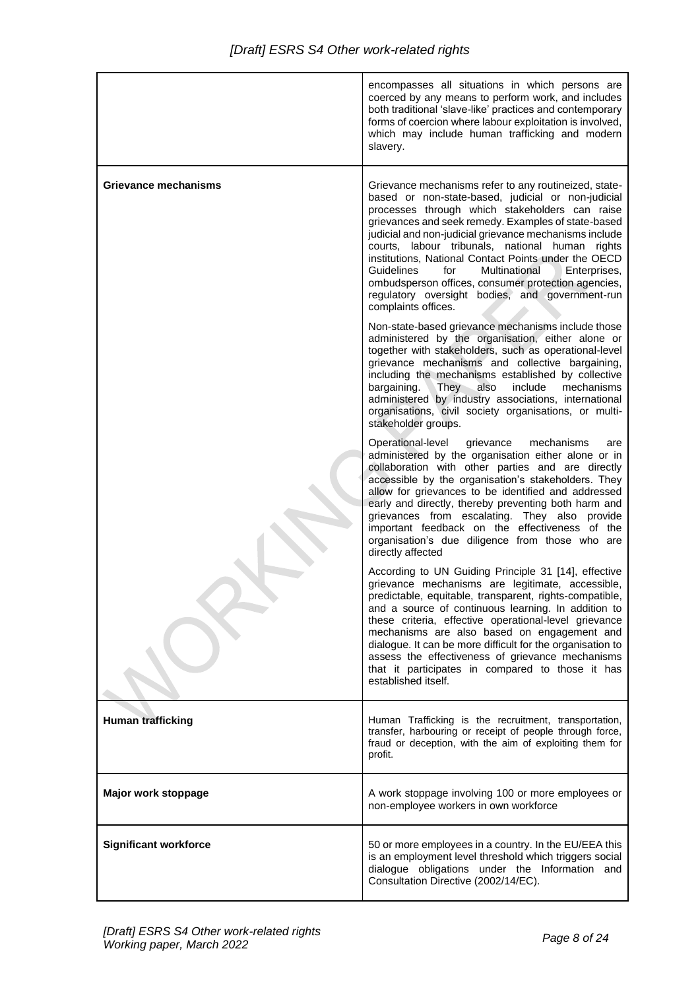|                              | encompasses all situations in which persons are<br>coerced by any means to perform work, and includes<br>both traditional 'slave-like' practices and contemporary<br>forms of coercion where labour exploitation is involved,<br>which may include human trafficking and modern<br>slavery.                                                                                                                                                                                                                                                                                      |
|------------------------------|----------------------------------------------------------------------------------------------------------------------------------------------------------------------------------------------------------------------------------------------------------------------------------------------------------------------------------------------------------------------------------------------------------------------------------------------------------------------------------------------------------------------------------------------------------------------------------|
| <b>Grievance mechanisms</b>  | Grievance mechanisms refer to any routineized, state-<br>based or non-state-based, judicial or non-judicial<br>processes through which stakeholders can raise<br>grievances and seek remedy. Examples of state-based<br>judicial and non-judicial grievance mechanisms include<br>courts, labour tribunals, national human rights<br>institutions, National Contact Points under the OECD<br>Multinational<br>Guidelines<br>for<br>Enterprises,<br>ombudsperson offices, consumer protection agencies,<br>regulatory oversight bodies, and government-run<br>complaints offices. |
|                              | Non-state-based grievance mechanisms include those<br>administered by the organisation, either alone or<br>together with stakeholders, such as operational-level<br>grievance mechanisms and collective bargaining,<br>including the mechanisms established by collective<br>bargaining.<br>They also<br>include<br>mechanisms<br>administered by industry associations, international<br>organisations, civil society organisations, or multi-<br>stakeholder groups.                                                                                                           |
|                              | Operational-level<br>grievance<br>mechanisms<br>are<br>administered by the organisation either alone or in<br>collaboration with other parties and are directly<br>accessible by the organisation's stakeholders. They<br>allow for grievances to be identified and addressed<br>early and directly, thereby preventing both harm and<br>grievances from escalating. They also provide<br>important feedback on the effectiveness of the<br>organisation's due diligence from those who are<br>directly affected                                                                 |
|                              | According to UN Guiding Principle 31 [14], effective<br>grievance mechanisms are legitimate, accessible,<br>predictable, equitable, transparent, rights-compatible,<br>and a source of continuous learning. In addition to<br>these criteria, effective operational-level grievance<br>mechanisms are also based on engagement and<br>dialogue. It can be more difficult for the organisation to<br>assess the effectiveness of grievance mechanisms<br>that it participates in compared to those it has<br>established itself.                                                  |
| <b>Human trafficking</b>     | Human Trafficking is the recruitment, transportation,<br>transfer, harbouring or receipt of people through force,<br>fraud or deception, with the aim of exploiting them for<br>profit.                                                                                                                                                                                                                                                                                                                                                                                          |
| Major work stoppage          | A work stoppage involving 100 or more employees or<br>non-employee workers in own workforce                                                                                                                                                                                                                                                                                                                                                                                                                                                                                      |
| <b>Significant workforce</b> | 50 or more employees in a country. In the EU/EEA this<br>is an employment level threshold which triggers social<br>dialogue obligations under the Information and<br>Consultation Directive (2002/14/EC).                                                                                                                                                                                                                                                                                                                                                                        |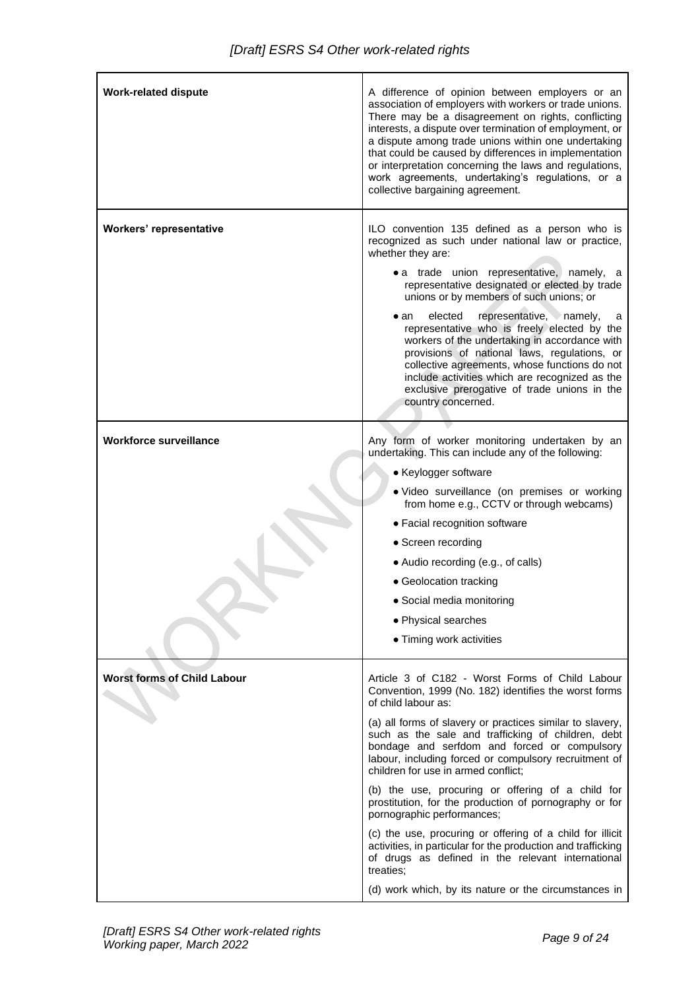| <b>Work-related dispute</b>        | A difference of opinion between employers or an<br>association of employers with workers or trade unions.<br>There may be a disagreement on rights, conflicting<br>interests, a dispute over termination of employment, or<br>a dispute among trade unions within one undertaking<br>that could be caused by differences in implementation<br>or interpretation concerning the laws and regulations,<br>work agreements, undertaking's regulations, or a<br>collective bargaining agreement. |  |
|------------------------------------|----------------------------------------------------------------------------------------------------------------------------------------------------------------------------------------------------------------------------------------------------------------------------------------------------------------------------------------------------------------------------------------------------------------------------------------------------------------------------------------------|--|
| Workers' representative            | ILO convention 135 defined as a person who is<br>recognized as such under national law or practice,<br>whether they are:                                                                                                                                                                                                                                                                                                                                                                     |  |
|                                    | • a trade union representative, namely, a<br>representative designated or elected by trade<br>unions or by members of such unions; or                                                                                                                                                                                                                                                                                                                                                        |  |
|                                    | representative, namely,<br>elected<br>$\bullet$ an<br>a<br>representative who is freely elected by the<br>workers of the undertaking in accordance with<br>provisions of national laws, regulations, or<br>collective agreements, whose functions do not<br>include activities which are recognized as the<br>exclusive prerogative of trade unions in the<br>country concerned.                                                                                                             |  |
| <b>Workforce surveillance</b>      | Any form of worker monitoring undertaken by an<br>undertaking. This can include any of the following:                                                                                                                                                                                                                                                                                                                                                                                        |  |
|                                    | • Keylogger software                                                                                                                                                                                                                                                                                                                                                                                                                                                                         |  |
|                                    | · Video surveillance (on premises or working<br>from home e.g., CCTV or through webcams)                                                                                                                                                                                                                                                                                                                                                                                                     |  |
|                                    | • Facial recognition software                                                                                                                                                                                                                                                                                                                                                                                                                                                                |  |
|                                    | • Screen recording                                                                                                                                                                                                                                                                                                                                                                                                                                                                           |  |
|                                    | • Audio recording (e.g., of calls)                                                                                                                                                                                                                                                                                                                                                                                                                                                           |  |
|                                    |                                                                                                                                                                                                                                                                                                                                                                                                                                                                                              |  |
|                                    | • Geolocation tracking                                                                                                                                                                                                                                                                                                                                                                                                                                                                       |  |
|                                    | • Social media monitoring                                                                                                                                                                                                                                                                                                                                                                                                                                                                    |  |
|                                    | • Physical searches<br>• Timing work activities                                                                                                                                                                                                                                                                                                                                                                                                                                              |  |
|                                    |                                                                                                                                                                                                                                                                                                                                                                                                                                                                                              |  |
| <b>Worst forms of Child Labour</b> | Article 3 of C182 - Worst Forms of Child Labour<br>Convention, 1999 (No. 182) identifies the worst forms<br>of child labour as:                                                                                                                                                                                                                                                                                                                                                              |  |
|                                    | (a) all forms of slavery or practices similar to slavery,<br>such as the sale and trafficking of children, debt<br>bondage and serfdom and forced or compulsory<br>labour, including forced or compulsory recruitment of<br>children for use in armed conflict;                                                                                                                                                                                                                              |  |
|                                    | (b) the use, procuring or offering of a child for<br>prostitution, for the production of pornography or for<br>pornographic performances;                                                                                                                                                                                                                                                                                                                                                    |  |
|                                    | (c) the use, procuring or offering of a child for illicit<br>activities, in particular for the production and trafficking<br>of drugs as defined in the relevant international<br>treaties;                                                                                                                                                                                                                                                                                                  |  |
|                                    | (d) work which, by its nature or the circumstances in                                                                                                                                                                                                                                                                                                                                                                                                                                        |  |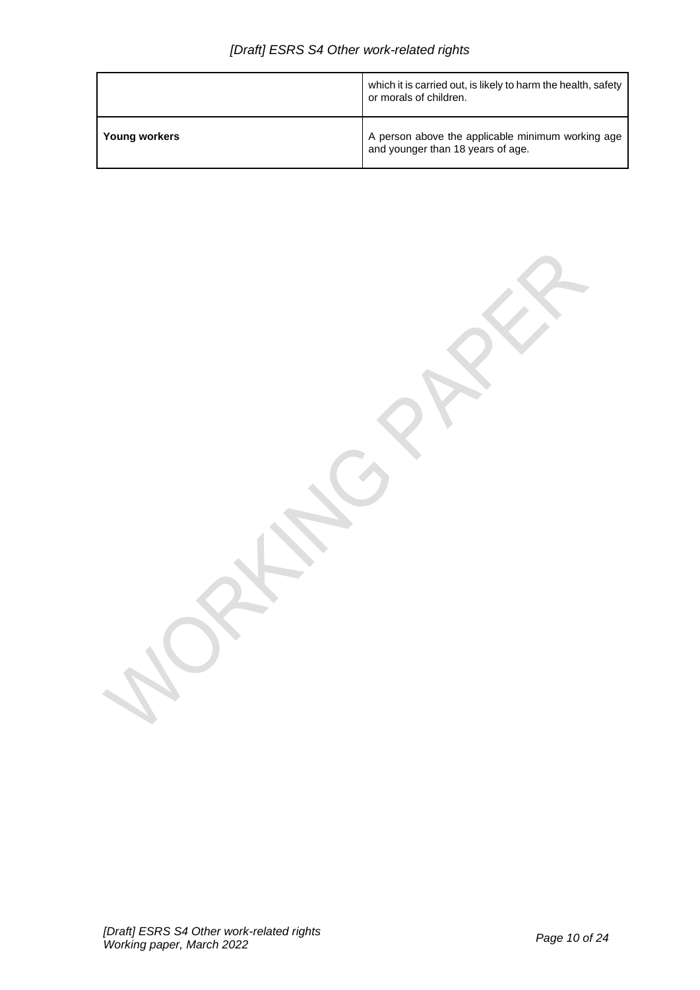|               | which it is carried out, is likely to harm the health, safety<br>or morals of children. |
|---------------|-----------------------------------------------------------------------------------------|
| Young workers | A person above the applicable minimum working age<br>and younger than 18 years of age.  |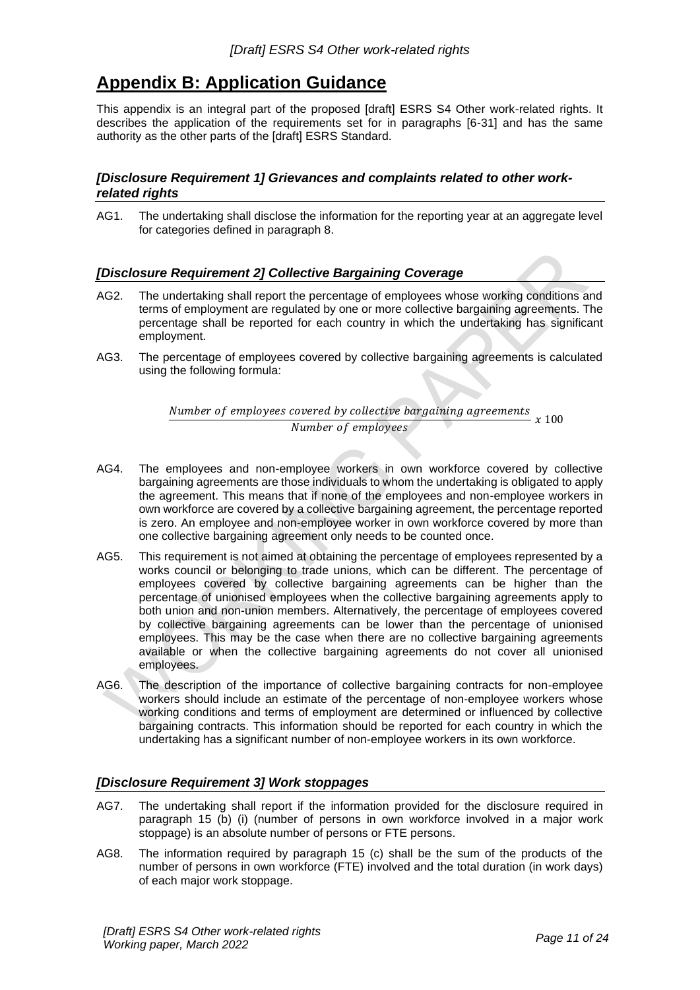## <span id="page-10-0"></span>**Appendix B: Application Guidance**

This appendix is an integral part of the proposed [draft] ESRS S4 Other work-related rights. It describes the application of the requirements set for in paragraphs [6-31] and has the same authority as the other parts of the [draft] ESRS Standard.

## <span id="page-10-1"></span>*[Disclosure Requirement 1] Grievances and complaints related to other workrelated rights*

AG1. The undertaking shall disclose the information for the reporting year at an aggregate level for categories defined in paragraph 8.

## <span id="page-10-2"></span>*[Disclosure Requirement 2] Collective Bargaining Coverage*

- AG2. The undertaking shall report the percentage of employees whose working conditions and terms of employment are regulated by one or more collective bargaining agreements. The percentage shall be reported for each country in which the undertaking has significant employment.
- AG3. The percentage of employees covered by collective bargaining agreements is calculated using the following formula:

Number of employees covered by collective bargaining agreements  $\frac{1}{100}$  Number of employees  $x = 100$ 

- AG4. The employees and non-employee workers in own workforce covered by collective bargaining agreements are those individuals to whom the undertaking is obligated to apply the agreement. This means that if none of the employees and non-employee workers in own workforce are covered by a collective bargaining agreement, the percentage reported is zero. An employee and non-employee worker in own workforce covered by more than one collective bargaining agreement only needs to be counted once.
- AG5. This requirement is not aimed at obtaining the percentage of employees represented by a works council or belonging to trade unions, which can be different. The percentage of employees covered by collective bargaining agreements can be higher than the percentage of unionised employees when the collective bargaining agreements apply to both union and non-union members. Alternatively, the percentage of employees covered by collective bargaining agreements can be lower than the percentage of unionised employees. This may be the case when there are no collective bargaining agreements available or when the collective bargaining agreements do not cover all unionised employees.
- AG6. The description of the importance of collective bargaining contracts for non-employee workers should include an estimate of the percentage of non-employee workers whose working conditions and terms of employment are determined or influenced by collective bargaining contracts. This information should be reported for each country in which the undertaking has a significant number of non-employee workers in its own workforce.

#### <span id="page-10-3"></span>*[Disclosure Requirement 3] Work stoppages*

- AG7. The undertaking shall report if the information provided for the disclosure required in paragraph 15 (b) (i) (number of persons in own workforce involved in a major work stoppage) is an absolute number of persons or FTE persons.
- AG8. The information required by paragraph 15 (c) shall be the sum of the products of the number of persons in own workforce (FTE) involved and the total duration (in work days) of each major work stoppage.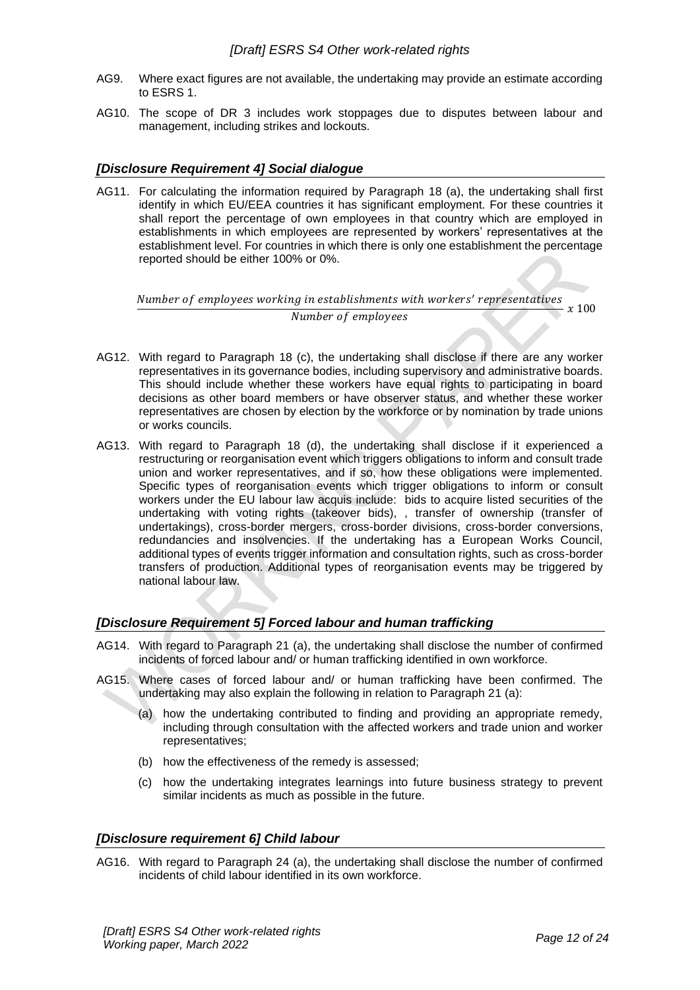- AG9. Where exact figures are not available, the undertaking may provide an estimate according to ESRS 1.
- AG10. The scope of DR 3 includes work stoppages due to disputes between labour and management, including strikes and lockouts.

#### <span id="page-11-0"></span>*[Disclosure Requirement 4] Social dialogue*

AG11. For calculating the information required by Paragraph 18 (a), the undertaking shall first identify in which EU/EEA countries it has significant employment. For these countries it shall report the percentage of own employees in that country which are employed in establishments in which employees are represented by workers' representatives at the establishment level. For countries in which there is only one establishment the percentage reported should be either 100% or 0%.

Number of employees working in establishments with workers' representatives  $\frac{1}{100}$  Number of employees  $x = 100$ 

- AG12. With regard to Paragraph 18 (c), the undertaking shall disclose if there are any worker representatives in its governance bodies, including supervisory and administrative boards. This should include whether these workers have equal rights to participating in board decisions as other board members or have observer status, and whether these worker representatives are chosen by election by the workforce or by nomination by trade unions or works councils.
- AG13. With regard to Paragraph 18 (d), the undertaking shall disclose if it experienced a restructuring or reorganisation event which triggers obligations to inform and consult trade union and worker representatives, and if so, how these obligations were implemented. Specific types of reorganisation events which trigger obligations to inform or consult workers under the EU labour law acquis include: bids to acquire listed securities of the undertaking with voting rights (takeover bids), , transfer of ownership (transfer of undertakings), cross-border mergers, cross-border divisions, cross-border conversions, redundancies and insolvencies. If the undertaking has a European Works Council, additional types of events trigger information and consultation rights, such as cross-border transfers of production. Additional types of reorganisation events may be triggered by national labour law.

#### <span id="page-11-1"></span>*[Disclosure Requirement 5] Forced labour and human trafficking*

- AG14. With regard to Paragraph 21 (a), the undertaking shall disclose the number of confirmed incidents of forced labour and/ or human trafficking identified in own workforce.
- AG15. Where cases of forced labour and/ or human trafficking have been confirmed. The undertaking may also explain the following in relation to Paragraph 21 (a):
	- (a) how the undertaking contributed to finding and providing an appropriate remedy, including through consultation with the affected workers and trade union and worker representatives;
	- (b) how the effectiveness of the remedy is assessed;
	- (c) how the undertaking integrates learnings into future business strategy to prevent similar incidents as much as possible in the future.

#### <span id="page-11-2"></span>*[Disclosure requirement 6] Child labour*

AG16. With regard to Paragraph 24 (a), the undertaking shall disclose the number of confirmed incidents of child labour identified in its own workforce.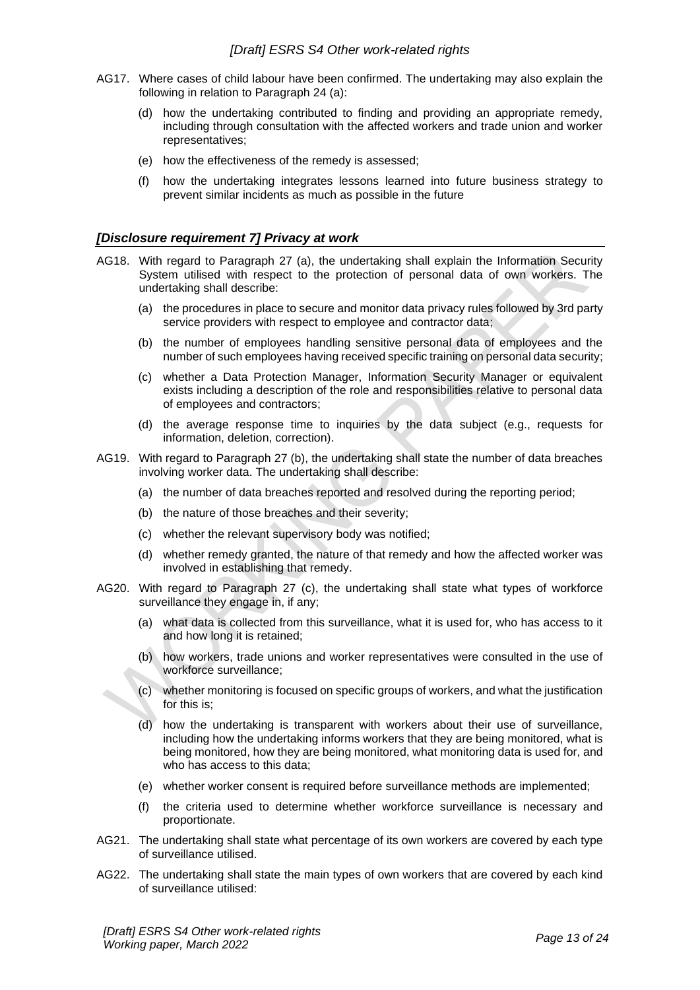- AG17. Where cases of child labour have been confirmed. The undertaking may also explain the following in relation to Paragraph 24 (a):
	- (d) how the undertaking contributed to finding and providing an appropriate remedy, including through consultation with the affected workers and trade union and worker representatives;
	- (e) how the effectiveness of the remedy is assessed;
	- (f) how the undertaking integrates lessons learned into future business strategy to prevent similar incidents as much as possible in the future

#### <span id="page-12-0"></span>*[Disclosure requirement 7] Privacy at work*

- AG18. With regard to Paragraph 27 (a), the undertaking shall explain the Information Security System utilised with respect to the protection of personal data of own workers. The undertaking shall describe:
	- (a) the procedures in place to secure and monitor data privacy rules followed by 3rd party service providers with respect to employee and contractor data;
	- (b) the number of employees handling sensitive personal data of employees and the number of such employees having received specific training on personal data security;
	- (c) whether a Data Protection Manager, Information Security Manager or equivalent exists including a description of the role and responsibilities relative to personal data of employees and contractors;
	- (d) the average response time to inquiries by the data subject (e.g., requests for information, deletion, correction).
- AG19. With regard to Paragraph 27 (b), the undertaking shall state the number of data breaches involving worker data. The undertaking shall describe:
	- (a) the number of data breaches reported and resolved during the reporting period;
	- (b) the nature of those breaches and their severity;
	- (c) whether the relevant supervisory body was notified;
	- (d) whether remedy granted, the nature of that remedy and how the affected worker was involved in establishing that remedy.
- AG20. With regard to Paragraph 27 (c), the undertaking shall state what types of workforce surveillance they engage in, if any;
	- (a) what data is collected from this surveillance, what it is used for, who has access to it and how long it is retained;
	- (b) how workers, trade unions and worker representatives were consulted in the use of workforce surveillance;
	- (c) whether monitoring is focused on specific groups of workers, and what the justification for this is;
	- (d) how the undertaking is transparent with workers about their use of surveillance, including how the undertaking informs workers that they are being monitored, what is being monitored, how they are being monitored, what monitoring data is used for, and who has access to this data;
	- (e) whether worker consent is required before surveillance methods are implemented;
	- (f) the criteria used to determine whether workforce surveillance is necessary and proportionate.
- AG21. The undertaking shall state what percentage of its own workers are covered by each type of surveillance utilised.
- AG22. The undertaking shall state the main types of own workers that are covered by each kind of surveillance utilised: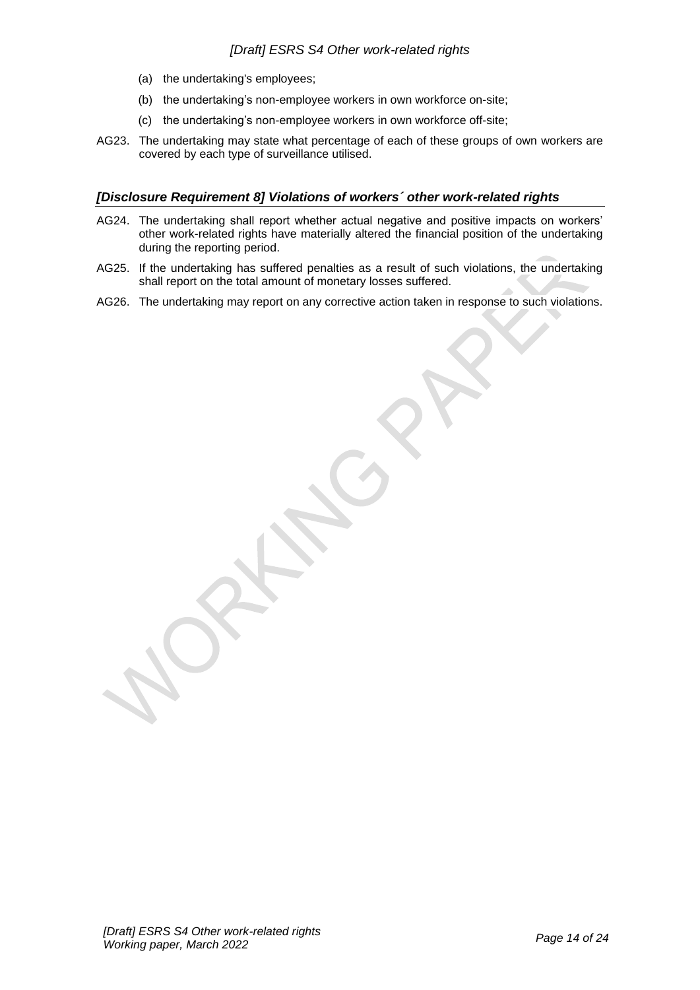- (a) the undertaking's employees;
- (b) the undertaking's non-employee workers in own workforce on-site;
- (c) the undertaking's non-employee workers in own workforce off-site;
- AG23. The undertaking may state what percentage of each of these groups of own workers are covered by each type of surveillance utilised.

## <span id="page-13-0"></span>*[Disclosure Requirement 8] Violations of workers´ other work-related rights*

- AG24. The undertaking shall report whether actual negative and positive impacts on workers' other work-related rights have materially altered the financial position of the undertaking during the reporting period.
- AG25. If the undertaking has suffered penalties as a result of such violations, the undertaking shall report on the total amount of monetary losses suffered.
- AG26. The undertaking may report on any corrective action taken in response to such violations.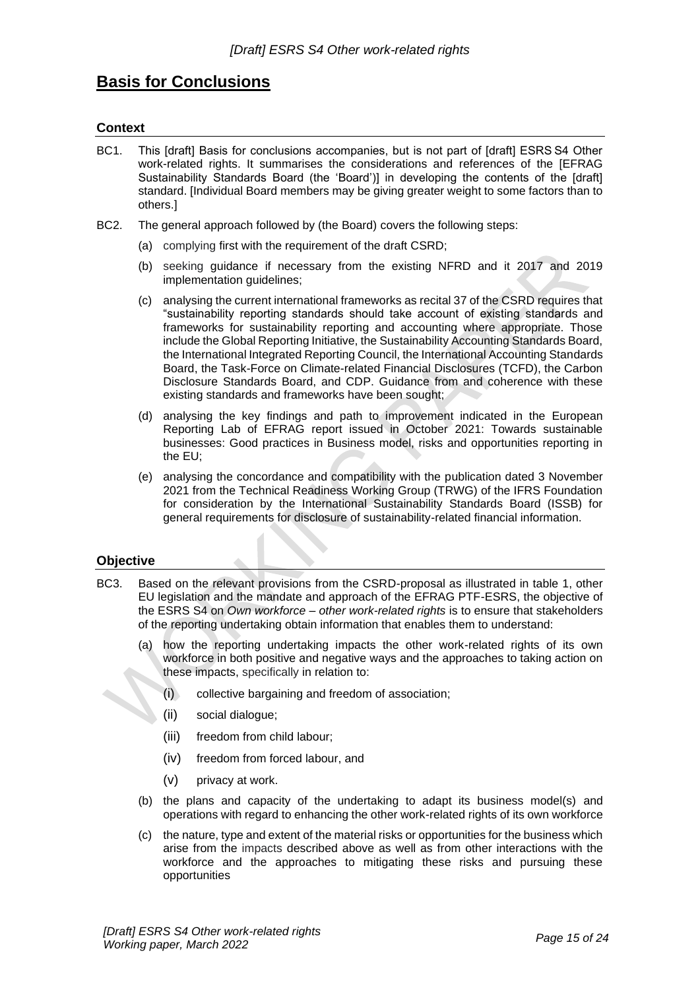## <span id="page-14-0"></span>**Basis for Conclusions**

## **Context**

- BC1. This [draft] Basis for conclusions accompanies, but is not part of [draft] ESRS S4 Other work-related rights. It summarises the considerations and references of the [EFRAG Sustainability Standards Board (the 'Board')] in developing the contents of the [draft] standard. [Individual Board members may be giving greater weight to some factors than to others.]
- BC2. The general approach followed by (the Board) covers the following steps:
	- (a) complying first with the requirement of the draft CSRD;
	- (b) seeking guidance if necessary from the existing NFRD and it 2017 and 2019 implementation guidelines;
	- (c) analysing the current international frameworks as recital 37 of the CSRD requires that "sustainability reporting standards should take account of existing standards and frameworks for sustainability reporting and accounting where appropriate. Those include the Global Reporting Initiative, the Sustainability Accounting Standards Board, the International Integrated Reporting Council, the International Accounting Standards Board, the Task-Force on Climate-related Financial Disclosures (TCFD), the Carbon Disclosure Standards Board, and CDP. Guidance from and coherence with these existing standards and frameworks have been sought;
	- (d) analysing the key findings and path to improvement indicated in the European Reporting Lab of EFRAG report issued in October 2021: Towards sustainable businesses: Good practices in Business model, risks and opportunities reporting in the EU;
	- (e) analysing the concordance and compatibility with the publication dated 3 November 2021 from the Technical Readiness Working Group (TRWG) of the IFRS Foundation for consideration by the International Sustainability Standards Board (ISSB) for general requirements for disclosure of sustainability-related financial information.

## **Objective**

- BC3. Based on the relevant provisions from the CSRD-proposal as illustrated in table 1, other EU legislation and the mandate and approach of the EFRAG PTF-ESRS, the objective of the ESRS S4 on *Own workforce – other work-related rights* is to ensure that stakeholders of the reporting undertaking obtain information that enables them to understand:
	- (a) how the reporting undertaking impacts the other work-related rights of its own workforce in both positive and negative ways and the approaches to taking action on these impacts, specifically in relation to:
		- (i) collective bargaining and freedom of association;
		- (ii) social dialogue;
		- (iii) freedom from child labour;
		- (iv) freedom from forced labour, and
		- (v) privacy at work.
	- (b) the plans and capacity of the undertaking to adapt its business model(s) and operations with regard to enhancing the other work-related rights of its own workforce
	- (c) the nature, type and extent of the material risks or opportunities for the business which arise from the impacts described above as well as from other interactions with the workforce and the approaches to mitigating these risks and pursuing these opportunities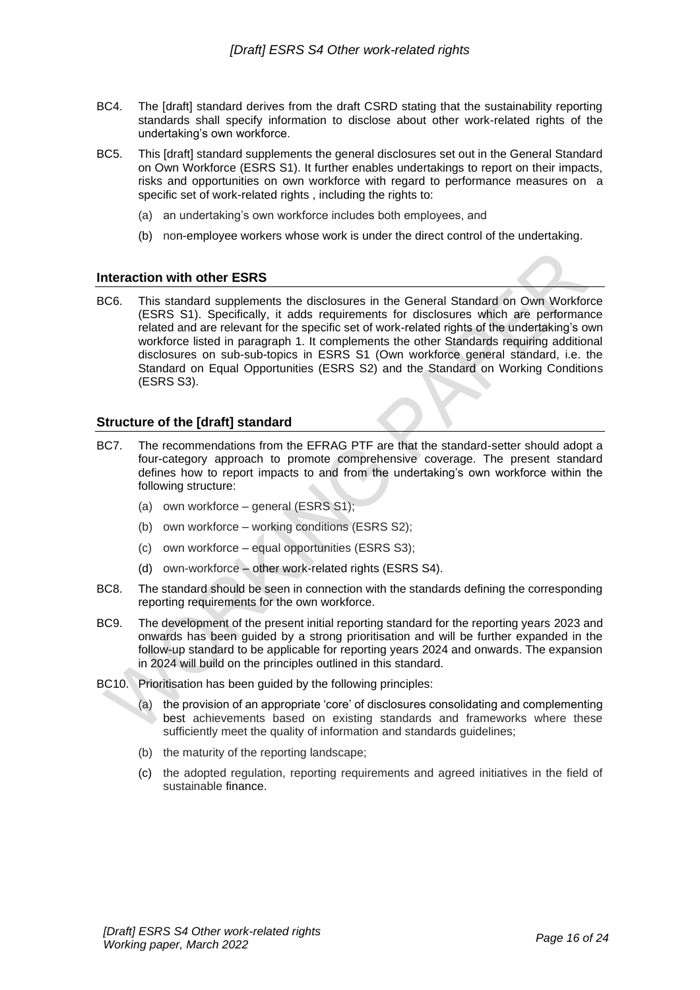- BC4. The [draft] standard derives from the draft CSRD stating that the sustainability reporting standards shall specify information to disclose about other work-related rights of the undertaking's own workforce.
- BC5. This [draft] standard supplements the general disclosures set out in the General Standard on Own Workforce (ESRS S1). It further enables undertakings to report on their impacts, risks and opportunities on own workforce with regard to performance measures on a specific set of work-related rights , including the rights to:
	- (a) an undertaking's own workforce includes both employees, and
	- (b) non-employee workers whose work is under the direct control of the undertaking.

#### **Interaction with other ESRS**

BC6. This standard supplements the disclosures in the General Standard on Own Workforce (ESRS S1). Specifically, it adds requirements for disclosures which are performance related and are relevant for the specific set of work-related rights of the undertaking's own workforce listed in paragraph 1. It complements the other Standards requiring additional disclosures on sub-sub-topics in ESRS S1 (Own workforce general standard, i.e. the Standard on Equal Opportunities (ESRS S2) and the Standard on Working Conditions (ESRS S3).

#### **Structure of the [draft] standard**

- BC7. The recommendations from the EFRAG PTF are that the standard-setter should adopt a four-category approach to promote comprehensive coverage. The present standard defines how to report impacts to and from the undertaking's own workforce within the following structure:
	- (a) own workforce general (ESRS S1);
	- (b) own workforce working conditions (ESRS S2);
	- (c) own workforce equal opportunities (ESRS S3);
	- (d) own-workforce other work-related rights (ESRS S4).
- BC8. The standard should be seen in connection with the standards defining the corresponding reporting requirements for the own workforce.
- BC9. The development of the present initial reporting standard for the reporting years 2023 and onwards has been guided by a strong prioritisation and will be further expanded in the follow-up standard to be applicable for reporting years 2024 and onwards. The expansion in 2024 will build on the principles outlined in this standard.
- BC10. Prioritisation has been guided by the following principles:
	- (a) the provision of an appropriate 'core' of disclosures consolidating and complementing best achievements based on existing standards and frameworks where these sufficiently meet the quality of information and standards guidelines;
	- (b) the maturity of the reporting landscape;
	- (c) the adopted regulation, reporting requirements and agreed initiatives in the field of sustainable finance.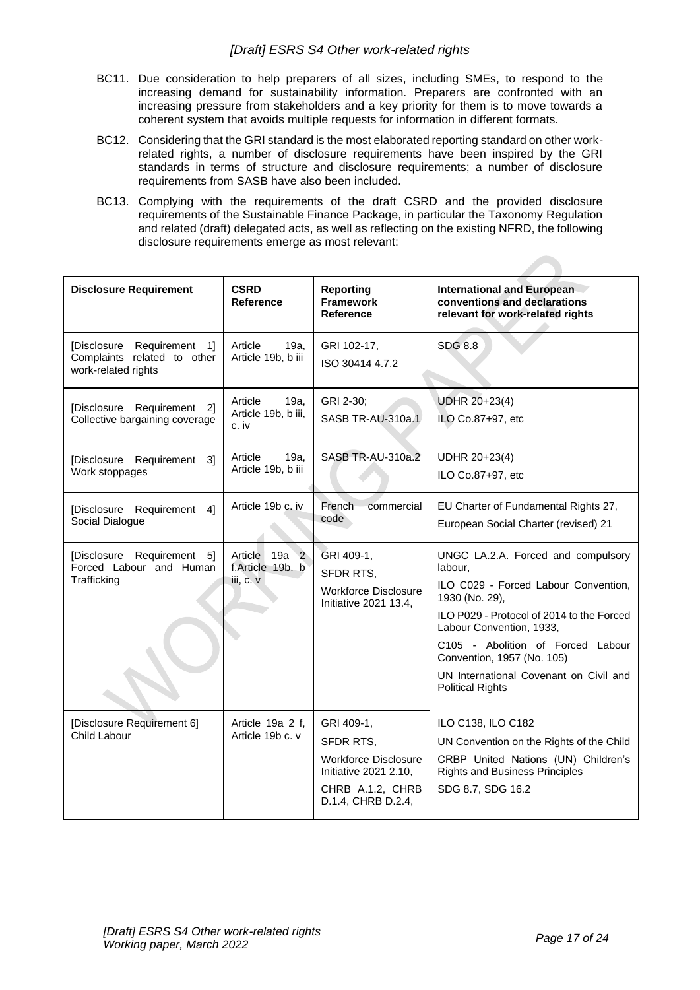- BC11. Due consideration to help preparers of all sizes, including SMEs, to respond to the increasing demand for sustainability information. Preparers are confronted with an increasing pressure from stakeholders and a key priority for them is to move towards a coherent system that avoids multiple requests for information in different formats.
- BC12. Considering that the GRI standard is the most elaborated reporting standard on other workrelated rights, a number of disclosure requirements have been inspired by the GRI standards in terms of structure and disclosure requirements; a number of disclosure requirements from SASB have also been included.
- BC13. Complying with the requirements of the draft CSRD and the provided disclosure requirements of the Sustainable Finance Package, in particular the Taxonomy Regulation and related (draft) delegated acts, as well as reflecting on the existing NFRD, the following disclosure requirements emerge as most relevant:

| <b>Disclosure Requirement</b>                                                              | <b>CSRD</b><br>Reference                                    | <b>Reporting</b><br><b>Framework</b><br><b>Reference</b>                                                           | <b>International and European</b><br>conventions and declarations<br>relevant for work-related rights                                                                                                                                                                                                                    |
|--------------------------------------------------------------------------------------------|-------------------------------------------------------------|--------------------------------------------------------------------------------------------------------------------|--------------------------------------------------------------------------------------------------------------------------------------------------------------------------------------------------------------------------------------------------------------------------------------------------------------------------|
| Requirement 1]<br><b>[Disclosure</b><br>Complaints related to other<br>work-related rights | Article<br>19a,<br>Article 19b, b iii                       | GRI 102-17,<br>ISO 30414 4.7.2                                                                                     | <b>SDG 8.8</b>                                                                                                                                                                                                                                                                                                           |
| [Disclosure Requirement<br>21<br>Collective bargaining coverage                            | Article<br>19a,<br>Article 19b, b iii,<br>c. iv             | GRI 2-30;<br>SASB TR-AU-310a.1                                                                                     | UDHR 20+23(4)<br>ILO Co.87+97, etc                                                                                                                                                                                                                                                                                       |
| [Disclosure Requirement<br>31<br>Work stoppages                                            | 19a,<br>Article<br>Article 19b, b iii                       | SASB TR-AU-310a.2                                                                                                  | UDHR 20+23(4)<br>ILO Co.87+97, etc                                                                                                                                                                                                                                                                                       |
| [Disclosure<br>Requirement<br>41<br>Social Dialogue                                        | Article 19b c. iv                                           | French<br>commercial<br>code                                                                                       | EU Charter of Fundamental Rights 27,<br>European Social Charter (revised) 21                                                                                                                                                                                                                                             |
| [Disclosure Requirement 5]<br>Forced Labour and Human<br>Trafficking                       | Article 19a<br>$\sqrt{2}$<br>f, Article 19b. b<br>iii, c. v | GRI 409-1,<br>SFDR RTS,<br><b>Workforce Disclosure</b><br>Initiative 2021 13.4,                                    | UNGC LA.2.A. Forced and compulsory<br>labour.<br>ILO C029 - Forced Labour Convention,<br>1930 (No. 29),<br>ILO P029 - Protocol of 2014 to the Forced<br>Labour Convention, 1933,<br>C105 - Abolition of Forced Labour<br>Convention, 1957 (No. 105)<br>UN International Covenant on Civil and<br><b>Political Rights</b> |
| [Disclosure Requirement 6]<br>Child Labour                                                 | Article 19a 2 f,<br>Article 19b c. v                        | GRI 409-1,<br>SFDR RTS,<br>Workforce Disclosure<br>Initiative 2021 2.10,<br>CHRB A.1.2, CHRB<br>D.1.4, CHRB D.2.4, | ILO C138, ILO C182<br>UN Convention on the Rights of the Child<br>CRBP United Nations (UN) Children's<br><b>Rights and Business Principles</b><br>SDG 8.7, SDG 16.2                                                                                                                                                      |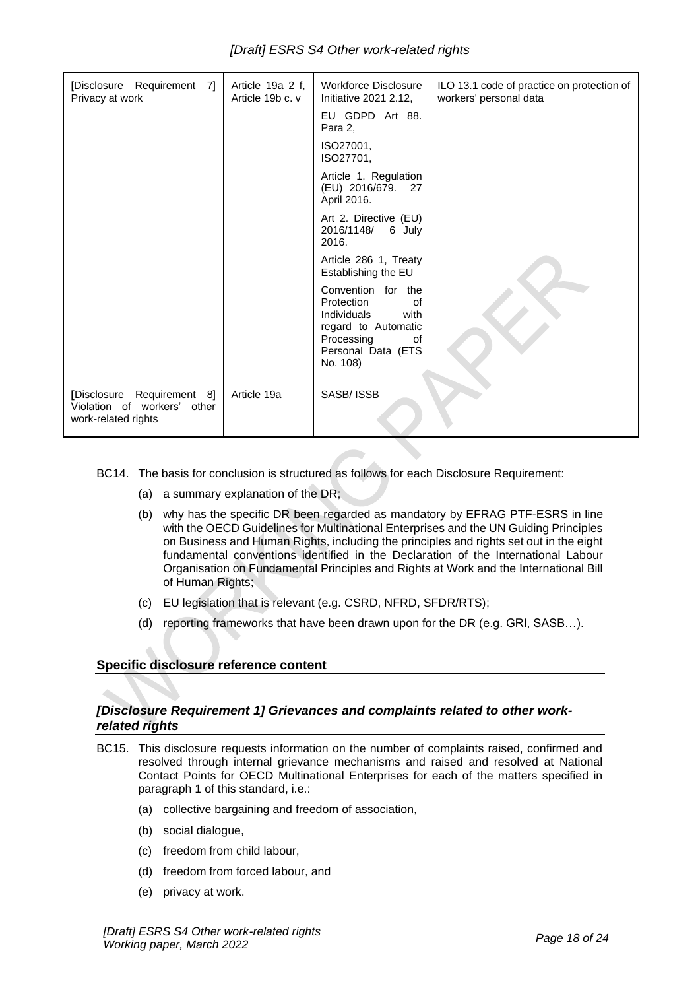| [Disclosure Requirement 7]<br>Privacy at work                                    | Article 19a 2 f,<br>Article 19b c. v | <b>Workforce Disclosure</b><br>Initiative 2021 2.12,                                                                                              | ILO 13.1 code of practice on protection of<br>workers' personal data |
|----------------------------------------------------------------------------------|--------------------------------------|---------------------------------------------------------------------------------------------------------------------------------------------------|----------------------------------------------------------------------|
|                                                                                  |                                      | EU GDPD Art 88.<br>Para 2.                                                                                                                        |                                                                      |
|                                                                                  |                                      | ISO27001,<br>ISO27701,                                                                                                                            |                                                                      |
|                                                                                  |                                      | Article 1. Regulation<br>(EU) 2016/679.<br>27<br>April 2016.                                                                                      |                                                                      |
|                                                                                  |                                      | Art 2. Directive (EU)<br>2016/1148/<br>6 July<br>2016.                                                                                            |                                                                      |
|                                                                                  |                                      | Article 286 1, Treaty<br>Establishing the EU                                                                                                      |                                                                      |
|                                                                                  |                                      | Convention for the<br>Protection<br>0f<br><b>Individuals</b><br>with<br>regard to Automatic<br>Processing<br>0f<br>Personal Data (ETS<br>No. 108) |                                                                      |
| [Disclosure Requirement 8]<br>Violation of workers' other<br>work-related rights | Article 19a                          | SASB/ISSB                                                                                                                                         |                                                                      |

BC14. The basis for conclusion is structured as follows for each Disclosure Requirement:

- (a) a summary explanation of the DR;
- (b) why has the specific DR been regarded as mandatory by EFRAG PTF-ESRS in line with the OECD Guidelines for Multinational Enterprises and the UN Guiding Principles on Business and Human Rights, including the principles and rights set out in the eight fundamental conventions identified in the Declaration of the International Labour Organisation on Fundamental Principles and Rights at Work and the International Bill of Human Rights;
- (c) EU legislation that is relevant (e.g. CSRD, NFRD, SFDR/RTS);
- (d) reporting frameworks that have been drawn upon for the DR (e.g. GRI, SASB…).

#### **Specific disclosure reference content**

## *[Disclosure Requirement 1] Grievances and complaints related to other workrelated rights*

- BC15. This disclosure requests information on the number of complaints raised, confirmed and resolved through internal grievance mechanisms and raised and resolved at National Contact Points for OECD Multinational Enterprises for each of the matters specified in paragraph 1 of this standard, i.e.:
	- (a) collective bargaining and freedom of association,
	- (b) social dialogue,
	- (c) freedom from child labour,
	- (d) freedom from forced labour, and
	- (e) privacy at work.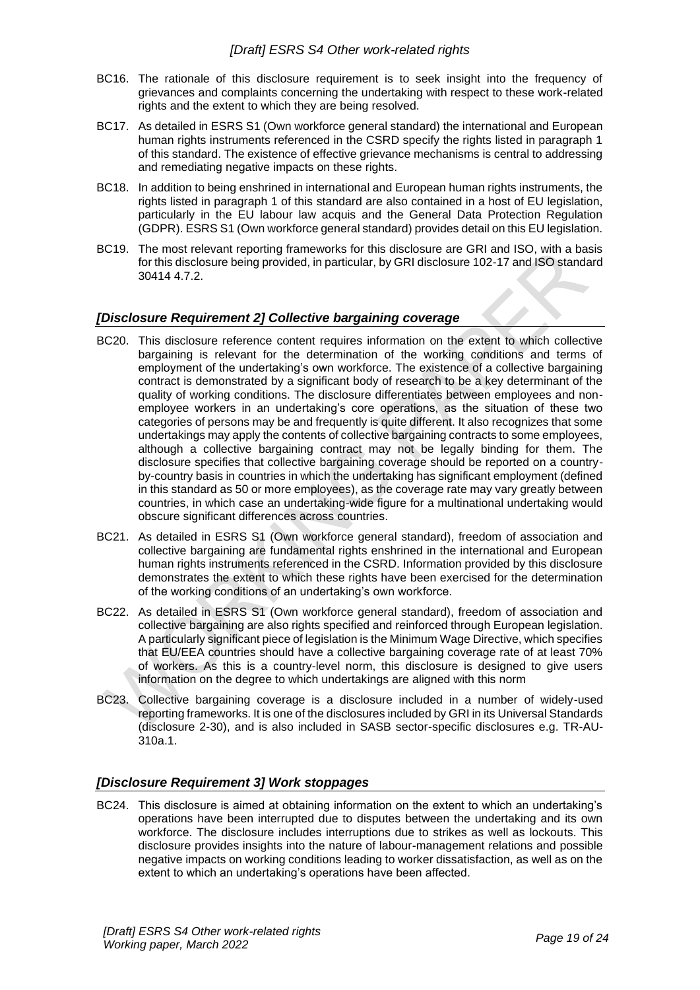- BC16. The rationale of this disclosure requirement is to seek insight into the frequency of grievances and complaints concerning the undertaking with respect to these work-related rights and the extent to which they are being resolved.
- BC17. As detailed in ESRS S1 (Own workforce general standard) the international and European human rights instruments referenced in the CSRD specify the rights listed in paragraph 1 of this standard. The existence of effective grievance mechanisms is central to addressing and remediating negative impacts on these rights.
- BC18. In addition to being enshrined in international and European human rights instruments, the rights listed in paragraph 1 of this standard are also contained in a host of EU legislation, particularly in the EU labour law acquis and the General Data Protection Regulation (GDPR). ESRS S1 (Own workforce general standard) provides detail on this EU legislation.
- BC19. The most relevant reporting frameworks for this disclosure are GRI and ISO, with a basis for this disclosure being provided, in particular, by GRI disclosure 102-17 and ISO standard 30414 4.7.2.

## *[Disclosure Requirement 2] Collective bargaining coverage*

- BC20. This disclosure reference content requires information on the extent to which collective bargaining is relevant for the determination of the working conditions and terms of employment of the undertaking's own workforce. The existence of a collective bargaining contract is demonstrated by a significant body of research to be a key determinant of the quality of working conditions. The disclosure differentiates between employees and nonemployee workers in an undertaking's core operations, as the situation of these two categories of persons may be and frequently is quite different. It also recognizes that some undertakings may apply the contents of collective bargaining contracts to some employees, although a collective bargaining contract may not be legally binding for them. The disclosure specifies that collective bargaining coverage should be reported on a countryby-country basis in countries in which the undertaking has significant employment (defined in this standard as 50 or more employees), as the coverage rate may vary greatly between countries, in which case an undertaking-wide figure for a multinational undertaking would obscure significant differences across countries.
- BC21. As detailed in ESRS S1 (Own workforce general standard), freedom of association and collective bargaining are fundamental rights enshrined in the international and European human rights instruments referenced in the CSRD. Information provided by this disclosure demonstrates the extent to which these rights have been exercised for the determination of the working conditions of an undertaking's own workforce.
- BC22. As detailed in ESRS S1 (Own workforce general standard), freedom of association and collective bargaining are also rights specified and reinforced through European legislation. A particularly significant piece of legislation is the Minimum Wage Directive, which specifies that EU/EEA countries should have a collective bargaining coverage rate of at least 70% of workers. As this is a country-level norm, this disclosure is designed to give users information on the degree to which undertakings are aligned with this norm
- BC23. Collective bargaining coverage is a disclosure included in a number of widely-used reporting frameworks. It is one of the disclosures included by GRI in its Universal Standards (disclosure 2-30), and is also included in SASB sector-specific disclosures e.g. TR-AU-310a.1.

## *[Disclosure Requirement 3] Work stoppages*

BC24. This disclosure is aimed at obtaining information on the extent to which an undertaking's operations have been interrupted due to disputes between the undertaking and its own workforce. The disclosure includes interruptions due to strikes as well as lockouts. This disclosure provides insights into the nature of labour-management relations and possible negative impacts on working conditions leading to worker dissatisfaction, as well as on the extent to which an undertaking's operations have been affected.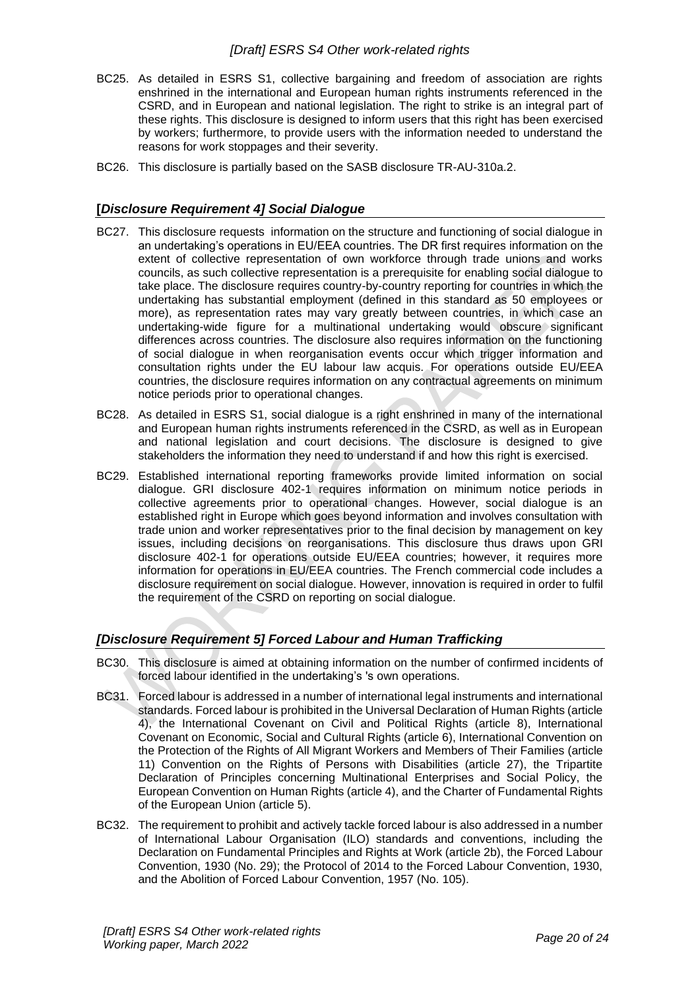- BC25. As detailed in ESRS S1, collective bargaining and freedom of association are rights enshrined in the international and European human rights instruments referenced in the CSRD, and in European and national legislation. The right to strike is an integral part of these rights. This disclosure is designed to inform users that this right has been exercised by workers; furthermore, to provide users with the information needed to understand the reasons for work stoppages and their severity.
- BC26. This disclosure is partially based on the SASB disclosure TR-AU-310a.2.

## **[***Disclosure Requirement 4] Social Dialogue*

- BC27. This disclosure requests information on the structure and functioning of social dialogue in an undertaking's operations in EU/EEA countries. The DR first requires information on the extent of collective representation of own workforce through trade unions and works councils, as such collective representation is a prerequisite for enabling social dialogue to take place. The disclosure requires country-by-country reporting for countries in which the undertaking has substantial employment (defined in this standard as 50 employees or more), as representation rates may vary greatly between countries, in which case an undertaking-wide figure for a multinational undertaking would obscure significant differences across countries. The disclosure also requires information on the functioning of social dialogue in when reorganisation events occur which trigger information and consultation rights under the EU labour law acquis. For operations outside EU/EEA countries, the disclosure requires information on any contractual agreements on minimum notice periods prior to operational changes.
- BC28. As detailed in ESRS S1, social dialogue is a right enshrined in many of the international and European human rights instruments referenced in the CSRD, as well as in European and national legislation and court decisions. The disclosure is designed to give stakeholders the information they need to understand if and how this right is exercised.
- BC29. Established international reporting frameworks provide limited information on social dialogue. GRI disclosure 402-1 requires information on minimum notice periods in collective agreements prior to operational changes. However, social dialogue is an established right in Europe which goes beyond information and involves consultation with trade union and worker representatives prior to the final decision by management on key issues, including decisions on reorganisations. This disclosure thus draws upon GRI disclosure 402-1 for operations outside EU/EEA countries; however, it requires more information for operations in EU/EEA countries. The French commercial code includes a disclosure requirement on social dialogue. However, innovation is required in order to fulfil the requirement of the CSRD on reporting on social dialogue.

#### *[Disclosure Requirement 5] Forced Labour and Human Trafficking*

- BC30. This disclosure is aimed at obtaining information on the number of confirmed incidents of forced labour identified in the undertaking's 's own operations.
- BC31. Forced labour is addressed in a number of international legal instruments and international standards. Forced labour is prohibited in the Universal Declaration of Human Rights (article 4), the International Covenant on Civil and Political Rights (article 8), International Covenant on Economic, Social and Cultural Rights (article 6), International Convention on the Protection of the Rights of All Migrant Workers and Members of Their Families (article 11) Convention on the Rights of Persons with Disabilities (article 27), the Tripartite Declaration of Principles concerning Multinational Enterprises and Social Policy, the European Convention on Human Rights (article 4), and the Charter of Fundamental Rights of the European Union (article 5).
- BC32. The requirement to prohibit and actively tackle forced labour is also addressed in a number of International Labour Organisation (ILO) standards and conventions, including the Declaration on Fundamental Principles and Rights at Work (article 2b), the Forced Labour Convention, 1930 (No. 29); the Protocol of 2014 to the Forced Labour Convention, 1930, and the Abolition of Forced Labour Convention, 1957 (No. 105).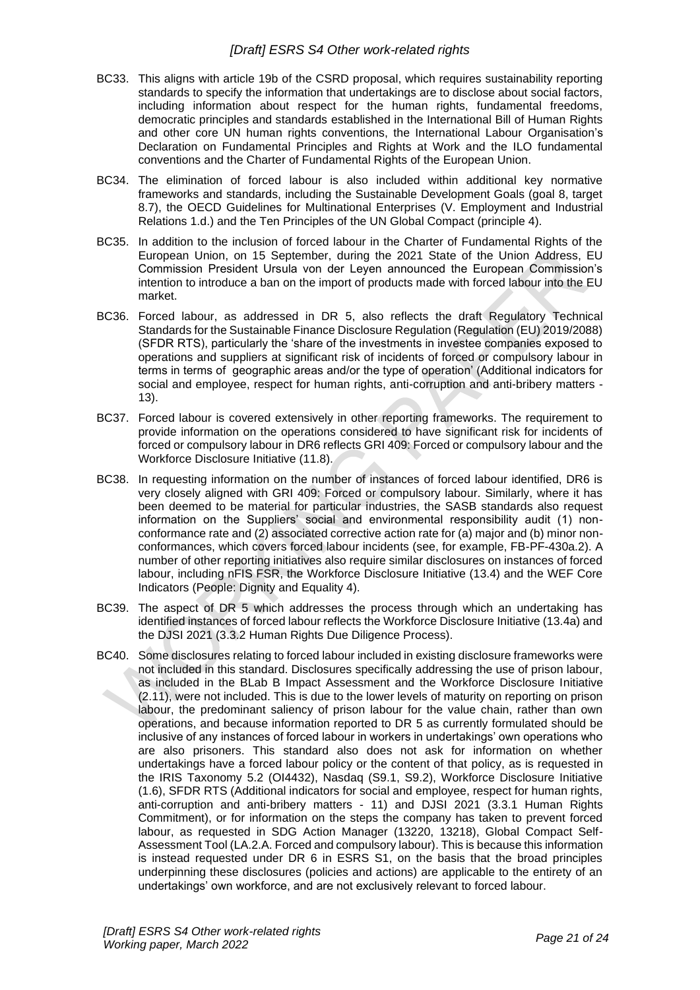- BC33. This aligns with article 19b of the CSRD proposal, which requires sustainability reporting standards to specify the information that undertakings are to disclose about social factors, including information about respect for the human rights, fundamental freedoms, democratic principles and standards established in the International Bill of Human Rights and other core UN human rights conventions, the International Labour Organisation's Declaration on Fundamental Principles and Rights at Work and the ILO fundamental conventions and the Charter of Fundamental Rights of the European Union.
- BC34. The elimination of forced labour is also included within additional key normative frameworks and standards, including the Sustainable Development Goals (goal 8, target 8.7), the OECD Guidelines for Multinational Enterprises (V. Employment and Industrial Relations 1.d.) and the Ten Principles of the UN Global Compact (principle 4).
- BC35. In addition to the inclusion of forced labour in the Charter of Fundamental Rights of the European Union, on 15 September, during the 2021 State of the Union Address, EU Commission President Ursula von der Leyen announced the European Commission's intention to introduce a ban on the import of products made with forced labour into the EU market.
- BC36. Forced labour, as addressed in DR 5, also reflects the draft Regulatory Technical Standards for the Sustainable Finance Disclosure Regulation (Regulation (EU) 2019/2088) (SFDR RTS), particularly the 'share of the investments in investee companies exposed to operations and suppliers at significant risk of incidents of forced or compulsory labour in terms in terms of geographic areas and/or the type of operation' (Additional indicators for social and employee, respect for human rights, anti-corruption and anti-bribery matters - 13).
- BC37. Forced labour is covered extensively in other reporting frameworks. The requirement to provide information on the operations considered to have significant risk for incidents of forced or compulsory labour in DR6 reflects GRI 409: Forced or compulsory labour and the Workforce Disclosure Initiative (11.8).
- BC38. In requesting information on the number of instances of forced labour identified, DR6 is very closely aligned with GRI 409: Forced or compulsory labour. Similarly, where it has been deemed to be material for particular industries, the SASB standards also request information on the Suppliers' social and environmental responsibility audit (1) nonconformance rate and (2) associated corrective action rate for (a) major and (b) minor nonconformances, which covers forced labour incidents (see, for example, FB-PF-430a.2). A number of other reporting initiatives also require similar disclosures on instances of forced labour, including nFIS FSR, the Workforce Disclosure Initiative (13.4) and the WEF Core Indicators (People: Dignity and Equality 4).
- BC39. The aspect of DR 5 which addresses the process through which an undertaking has identified instances of forced labour reflects the Workforce Disclosure Initiative (13.4a) and the DJSI 2021 (3.3.2 Human Rights Due Diligence Process).
- BC40. Some disclosures relating to forced labour included in existing disclosure frameworks were not included in this standard. Disclosures specifically addressing the use of prison labour, as included in the BLab B Impact Assessment and the Workforce Disclosure Initiative (2.11), were not included. This is due to the lower levels of maturity on reporting on prison labour, the predominant saliency of prison labour for the value chain, rather than own operations, and because information reported to DR 5 as currently formulated should be inclusive of any instances of forced labour in workers in undertakings' own operations who are also prisoners. This standard also does not ask for information on whether undertakings have a forced labour policy or the content of that policy, as is requested in the IRIS Taxonomy 5.2 (OI4432), Nasdaq (S9.1, S9.2), Workforce Disclosure Initiative (1.6), SFDR RTS (Additional indicators for social and employee, respect for human rights, anti-corruption and anti-bribery matters - 11) and DJSI 2021 (3.3.1 Human Rights Commitment), or for information on the steps the company has taken to prevent forced labour, as requested in SDG Action Manager (13220, 13218), Global Compact Self-Assessment Tool (LA.2.A. Forced and compulsory labour). This is because this information is instead requested under DR 6 in ESRS S1, on the basis that the broad principles underpinning these disclosures (policies and actions) are applicable to the entirety of an undertakings' own workforce, and are not exclusively relevant to forced labour.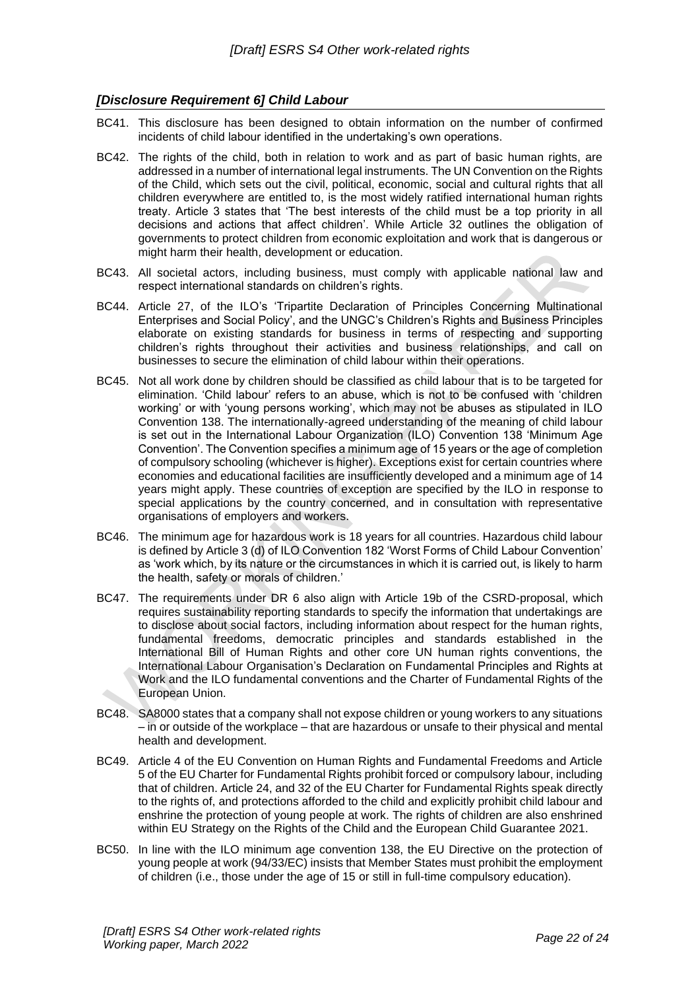## *[Disclosure Requirement 6] Child Labour*

- BC41. This disclosure has been designed to obtain information on the number of confirmed incidents of child labour identified in the undertaking's own operations.
- BC42. The rights of the child, both in relation to work and as part of basic human rights, are addressed in a number of international legal instruments. The UN Convention on the Rights of the Child, which sets out the civil, political, economic, social and cultural rights that all children everywhere are entitled to, is the most widely ratified international human rights treaty. Article 3 states that 'The best interests of the child must be a top priority in all decisions and actions that affect children'. While Article 32 outlines the obligation of governments to protect children from economic exploitation and work that is dangerous or might harm their health, development or education.
- BC43. All societal actors, including business, must comply with applicable national law and respect international standards on children's rights.
- BC44. Article 27, of the ILO's 'Tripartite Declaration of Principles Concerning Multinational Enterprises and Social Policy', and the UNGC's Children's Rights and Business Principles elaborate on existing standards for business in terms of respecting and supporting children's rights throughout their activities and business relationships, and call on businesses to secure the elimination of child labour within their operations.
- BC45. Not all work done by children should be classified as child labour that is to be targeted for elimination. 'Child labour' refers to an abuse, which is not to be confused with 'children working' or with 'young persons working', which may not be abuses as stipulated in ILO Convention 138. The internationally-agreed understanding of the meaning of child labour is set out in the International Labour Organization (ILO) Convention 138 'Minimum Age Convention'. The Convention specifies a minimum age of 15 years or the age of completion of compulsory schooling (whichever is higher). Exceptions exist for certain countries where economies and educational facilities are insufficiently developed and a minimum age of 14 years might apply. These countries of exception are specified by the ILO in response to special applications by the country concerned, and in consultation with representative organisations of employers and workers.
- BC46. The minimum age for hazardous work is 18 years for all countries. Hazardous child labour is defined by Article 3 (d) of ILO Convention 182 'Worst Forms of Child Labour Convention' as 'work which, by its nature or the circumstances in which it is carried out, is likely to harm the health, safety or morals of children.'
- BC47. The requirements under DR 6 also align with Article 19b of the CSRD-proposal, which requires sustainability reporting standards to specify the information that undertakings are to disclose about social factors, including information about respect for the human rights, fundamental freedoms, democratic principles and standards established in the International Bill of Human Rights and other core UN human rights conventions, the International Labour Organisation's Declaration on Fundamental Principles and Rights at Work and the ILO fundamental conventions and the Charter of Fundamental Rights of the European Union.
- BC48. SA8000 states that a company shall not expose children or young workers to any situations – in or outside of the workplace – that are hazardous or unsafe to their physical and mental health and development.
- BC49. Article 4 of the EU Convention on Human Rights and Fundamental Freedoms and Article 5 of the EU Charter for Fundamental Rights prohibit forced or compulsory labour, including that of children. Article 24, and 32 of the EU Charter for Fundamental Rights speak directly to the rights of, and protections afforded to the child and explicitly prohibit child labour and enshrine the protection of young people at work. The rights of children are also enshrined within EU Strategy on the Rights of the Child and the European Child Guarantee 2021.
- BC50. In line with the ILO minimum age convention 138, the EU Directive on the protection of young people at work (94/33/EC) insists that Member States must prohibit the employment of children (i.e., those under the age of 15 or still in full-time compulsory education).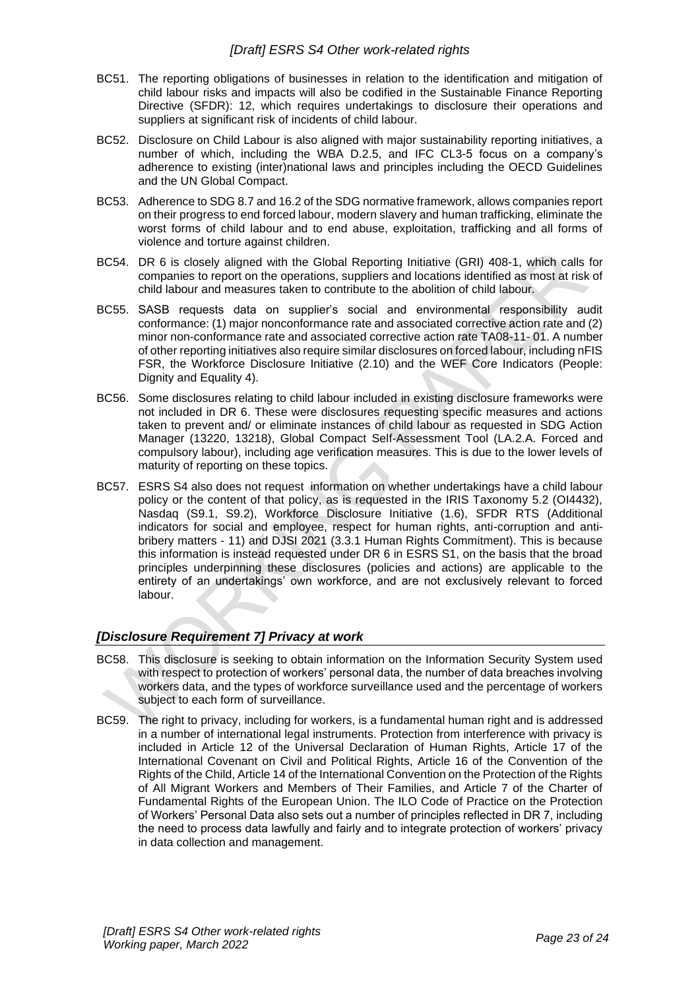- BC51. The reporting obligations of businesses in relation to the identification and mitigation of child labour risks and impacts will also be codified in the Sustainable Finance Reporting Directive (SFDR): 12, which requires undertakings to disclosure their operations and suppliers at significant risk of incidents of child labour.
- BC52. Disclosure on Child Labour is also aligned with major sustainability reporting initiatives, a number of which, including the WBA D.2.5, and IFC CL3-5 focus on a company's adherence to existing (inter)national laws and principles including the OECD Guidelines and the UN Global Compact.
- BC53. Adherence to SDG 8.7 and 16.2 of the SDG normative framework, allows companies report on their progress to end forced labour, modern slavery and human trafficking, eliminate the worst forms of child labour and to end abuse, exploitation, trafficking and all forms of violence and torture against children.
- BC54. DR 6 is closely aligned with the Global Reporting Initiative (GRI) 408-1, which calls for companies to report on the operations, suppliers and locations identified as most at risk of child labour and measures taken to contribute to the abolition of child labour.
- BC55. SASB requests data on supplier's social and environmental responsibility audit conformance: (1) major nonconformance rate and associated corrective action rate and (2) minor non-conformance rate and associated corrective action rate TA08-11- 01. A number of other reporting initiatives also require similar disclosures on forced labour, including nFIS FSR, the Workforce Disclosure Initiative (2.10) and the WEF Core Indicators (People: Dignity and Equality 4).
- BC56. Some disclosures relating to child labour included in existing disclosure frameworks were not included in DR 6. These were disclosures requesting specific measures and actions taken to prevent and/ or eliminate instances of child labour as requested in SDG Action Manager (13220, 13218), Global Compact Self-Assessment Tool (LA.2.A. Forced and compulsory labour), including age verification measures. This is due to the lower levels of maturity of reporting on these topics.
- BC57. ESRS S4 also does not request information on whether undertakings have a child labour policy or the content of that policy, as is requested in the IRIS Taxonomy 5.2 (OI4432), Nasdaq (S9.1, S9.2), Workforce Disclosure Initiative (1.6), SFDR RTS (Additional indicators for social and employee, respect for human rights, anti-corruption and antibribery matters - 11) and DJSI 2021 (3.3.1 Human Rights Commitment). This is because this information is instead requested under DR 6 in ESRS S1, on the basis that the broad principles underpinning these disclosures (policies and actions) are applicable to the entirety of an undertakings' own workforce, and are not exclusively relevant to forced labour.

## *[Disclosure Requirement 7] Privacy at work*

- BC58. This disclosure is seeking to obtain information on the Information Security System used with respect to protection of workers' personal data, the number of data breaches involving workers data, and the types of workforce surveillance used and the percentage of workers subject to each form of surveillance.
- BC59. The right to privacy, including for workers, is a fundamental human right and is addressed in a number of international legal instruments. Protection from interference with privacy is included in Article 12 of the Universal Declaration of Human Rights, Article 17 of the International Covenant on Civil and Political Rights, Article 16 of the Convention of the Rights of the Child, Article 14 of the International Convention on the Protection of the Rights of All Migrant Workers and Members of Their Families, and Article 7 of the Charter of Fundamental Rights of the European Union. The ILO Code of Practice on the Protection of Workers' Personal Data also sets out a number of principles reflected in DR 7, including the need to process data lawfully and fairly and to integrate protection of workers' privacy in data collection and management.